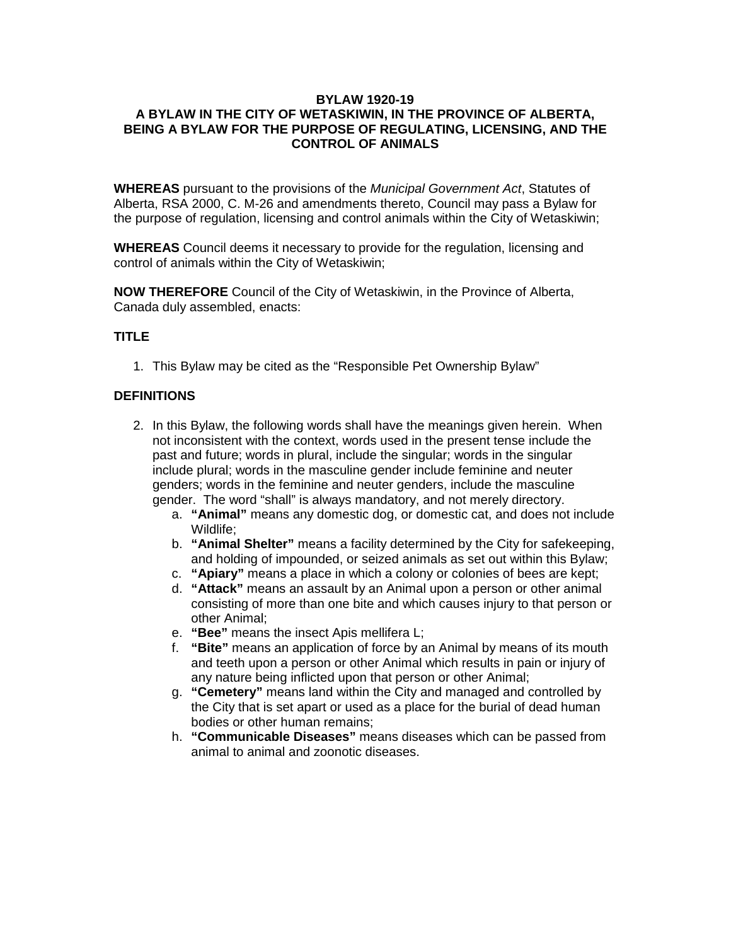#### **BYLAW 1920-19 A BYLAW IN THE CITY OF WETASKIWIN, IN THE PROVINCE OF ALBERTA, BEING A BYLAW FOR THE PURPOSE OF REGULATING, LICENSING, AND THE CONTROL OF ANIMALS**

**WHEREAS** pursuant to the provisions of the *Municipal Government Act*, Statutes of Alberta, RSA 2000, C. M-26 and amendments thereto, Council may pass a Bylaw for the purpose of regulation, licensing and control animals within the City of Wetaskiwin;

**WHEREAS** Council deems it necessary to provide for the regulation, licensing and control of animals within the City of Wetaskiwin;

**NOW THEREFORE** Council of the City of Wetaskiwin, in the Province of Alberta, Canada duly assembled, enacts:

#### **TITLE**

1. This Bylaw may be cited as the "Responsible Pet Ownership Bylaw"

#### **DEFINITIONS**

- 2. In this Bylaw, the following words shall have the meanings given herein. When not inconsistent with the context, words used in the present tense include the past and future; words in plural, include the singular; words in the singular include plural; words in the masculine gender include feminine and neuter genders; words in the feminine and neuter genders, include the masculine gender. The word "shall" is always mandatory, and not merely directory.
	- a. **"Animal"** means any domestic dog, or domestic cat, and does not include Wildlife;
	- b. **"Animal Shelter"** means a facility determined by the City for safekeeping, and holding of impounded, or seized animals as set out within this Bylaw;
	- c. **"Apiary"** means a place in which a colony or colonies of bees are kept;
	- d. **"Attack"** means an assault by an Animal upon a person or other animal consisting of more than one bite and which causes injury to that person or other Animal;
	- e. **"Bee"** means the insect Apis mellifera L;
	- f. **"Bite"** means an application of force by an Animal by means of its mouth and teeth upon a person or other Animal which results in pain or injury of any nature being inflicted upon that person or other Animal;
	- g. **"Cemetery"** means land within the City and managed and controlled by the City that is set apart or used as a place for the burial of dead human bodies or other human remains;
	- h. **"Communicable Diseases"** means diseases which can be passed from animal to animal and zoonotic diseases.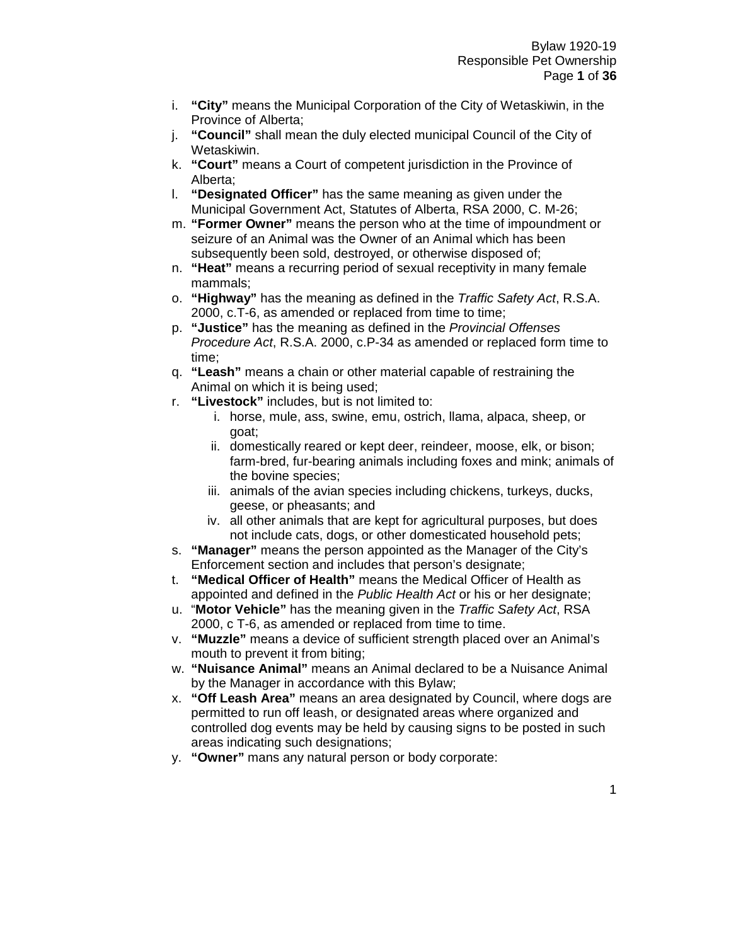- i. **"City"** means the Municipal Corporation of the City of Wetaskiwin, in the Province of Alberta;
- j. **"Council"** shall mean the duly elected municipal Council of the City of Wetaskiwin.
- k. **"Court"** means a Court of competent jurisdiction in the Province of Alberta;
- l. **"Designated Officer"** has the same meaning as given under the Municipal Government Act, Statutes of Alberta, RSA 2000, C. M-26;
- m. **"Former Owner"** means the person who at the time of impoundment or seizure of an Animal was the Owner of an Animal which has been subsequently been sold, destroyed, or otherwise disposed of;
- n. **"Heat"** means a recurring period of sexual receptivity in many female mammals;
- o. **"Highway"** has the meaning as defined in the *Traffic Safety Act*, R.S.A. 2000, c.T-6, as amended or replaced from time to time;
- p. **"Justice"** has the meaning as defined in the *Provincial Offenses Procedure Act*, R.S.A. 2000, c.P-34 as amended or replaced form time to time;
- q. **"Leash"** means a chain or other material capable of restraining the Animal on which it is being used;
- r. **"Livestock"** includes, but is not limited to:
	- i. horse, mule, ass, swine, emu, ostrich, llama, alpaca, sheep, or goat;
	- ii. domestically reared or kept deer, reindeer, moose, elk, or bison; farm-bred, fur-bearing animals including foxes and mink; animals of the bovine species;
	- iii. animals of the avian species including chickens, turkeys, ducks, geese, or pheasants; and
	- iv. all other animals that are kept for agricultural purposes, but does not include cats, dogs, or other domesticated household pets;
- s. **"Manager"** means the person appointed as the Manager of the City's Enforcement section and includes that person's designate;
- t. **"Medical Officer of Health"** means the Medical Officer of Health as appointed and defined in the *Public Health Act* or his or her designate;
- u. "**Motor Vehicle"** has the meaning given in the *Traffic Safety Act*, RSA 2000, c T-6, as amended or replaced from time to time.
- v. **"Muzzle"** means a device of sufficient strength placed over an Animal's mouth to prevent it from biting;
- w. **"Nuisance Animal"** means an Animal declared to be a Nuisance Animal by the Manager in accordance with this Bylaw;
- x. **"Off Leash Area"** means an area designated by Council, where dogs are permitted to run off leash, or designated areas where organized and controlled dog events may be held by causing signs to be posted in such areas indicating such designations;
- y. **"Owner"** mans any natural person or body corporate: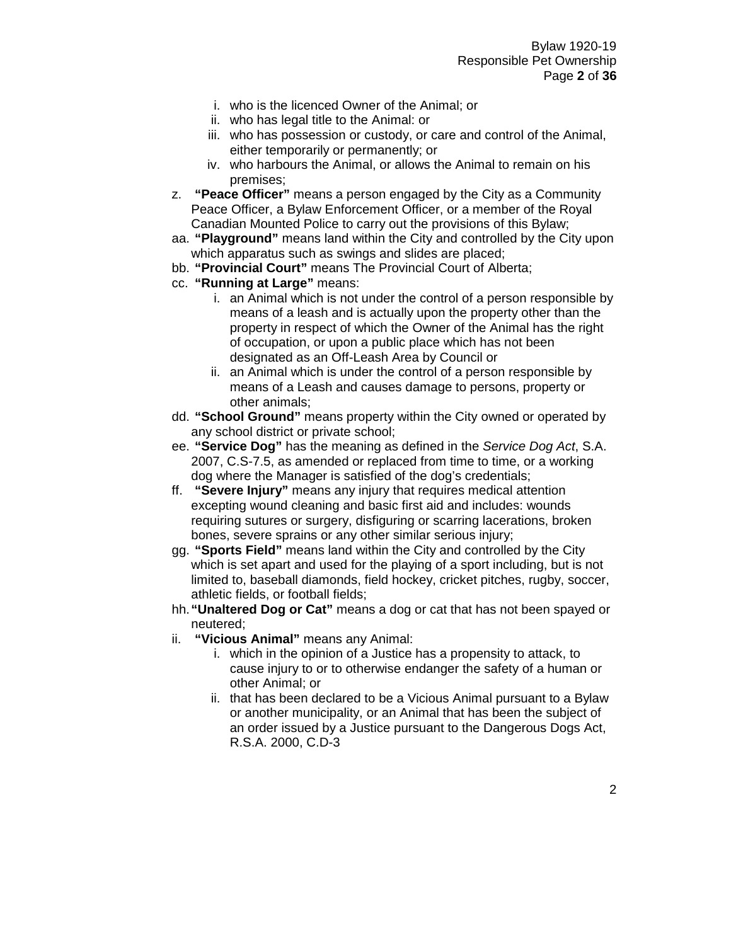- i. who is the licenced Owner of the Animal; or
- ii. who has legal title to the Animal: or
- iii. who has possession or custody, or care and control of the Animal, either temporarily or permanently; or
- iv. who harbours the Animal, or allows the Animal to remain on his premises;
- z. **"Peace Officer"** means a person engaged by the City as a Community Peace Officer, a Bylaw Enforcement Officer, or a member of the Royal Canadian Mounted Police to carry out the provisions of this Bylaw;
- aa. **"Playground"** means land within the City and controlled by the City upon which apparatus such as swings and slides are placed;
- bb. **"Provincial Court"** means The Provincial Court of Alberta;
- cc. **"Running at Large"** means:
	- i. an Animal which is not under the control of a person responsible by means of a leash and is actually upon the property other than the property in respect of which the Owner of the Animal has the right of occupation, or upon a public place which has not been designated as an Off-Leash Area by Council or
	- ii. an Animal which is under the control of a person responsible by means of a Leash and causes damage to persons, property or other animals;
- dd. **"School Ground"** means property within the City owned or operated by any school district or private school;
- ee. **"Service Dog"** has the meaning as defined in the *Service Dog Act*, S.A. 2007, C.S-7.5, as amended or replaced from time to time, or a working dog where the Manager is satisfied of the dog's credentials;
- ff. **"Severe Injury"** means any injury that requires medical attention excepting wound cleaning and basic first aid and includes: wounds requiring sutures or surgery, disfiguring or scarring lacerations, broken bones, severe sprains or any other similar serious injury;
- gg. **"Sports Field"** means land within the City and controlled by the City which is set apart and used for the playing of a sport including, but is not limited to, baseball diamonds, field hockey, cricket pitches, rugby, soccer, athletic fields, or football fields;
- hh.**"Unaltered Dog or Cat"** means a dog or cat that has not been spayed or neutered;
- ii. **"Vicious Animal"** means any Animal:
	- i. which in the opinion of a Justice has a propensity to attack, to cause injury to or to otherwise endanger the safety of a human or other Animal; or
	- ii. that has been declared to be a Vicious Animal pursuant to a Bylaw or another municipality, or an Animal that has been the subject of an order issued by a Justice pursuant to the Dangerous Dogs Act, R.S.A. 2000, C.D-3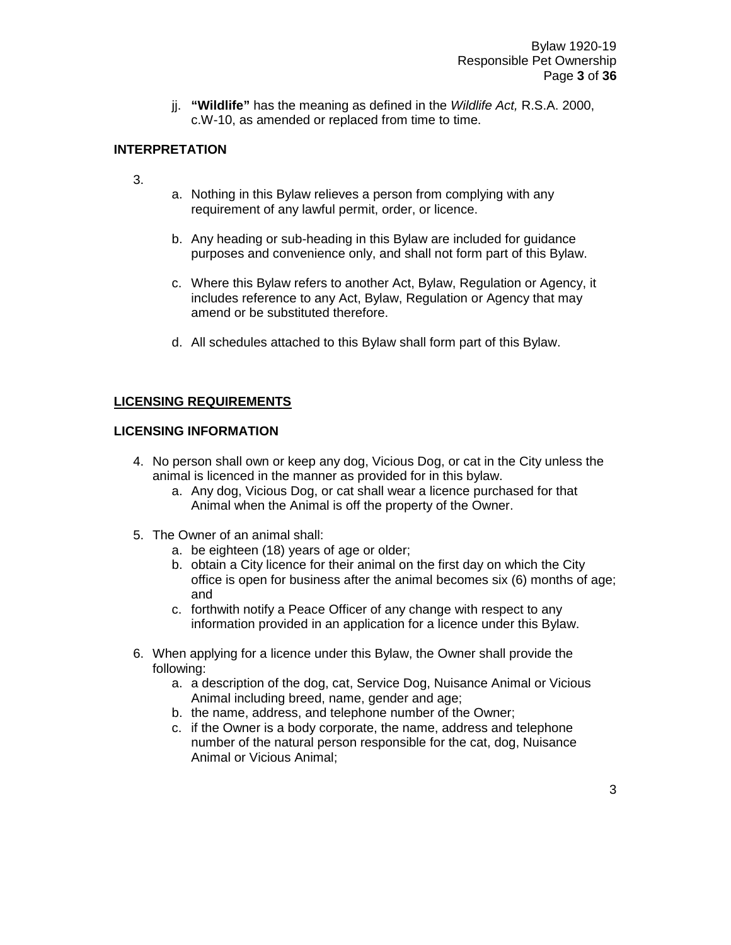jj. **"Wildlife"** has the meaning as defined in the *Wildlife Act,* R.S.A. 2000, c.W-10, as amended or replaced from time to time.

#### **INTERPRETATION**

- 3.
- a. Nothing in this Bylaw relieves a person from complying with any requirement of any lawful permit, order, or licence.
- b. Any heading or sub-heading in this Bylaw are included for guidance purposes and convenience only, and shall not form part of this Bylaw.
- c. Where this Bylaw refers to another Act, Bylaw, Regulation or Agency, it includes reference to any Act, Bylaw, Regulation or Agency that may amend or be substituted therefore.
- d. All schedules attached to this Bylaw shall form part of this Bylaw.

#### **LICENSING REQUIREMENTS**

#### **LICENSING INFORMATION**

- 4. No person shall own or keep any dog, Vicious Dog, or cat in the City unless the animal is licenced in the manner as provided for in this bylaw.
	- a. Any dog, Vicious Dog, or cat shall wear a licence purchased for that Animal when the Animal is off the property of the Owner.
- 5. The Owner of an animal shall:
	- a. be eighteen (18) years of age or older;
	- b. obtain a City licence for their animal on the first day on which the City office is open for business after the animal becomes six (6) months of age; and
	- c. forthwith notify a Peace Officer of any change with respect to any information provided in an application for a licence under this Bylaw.
- 6. When applying for a licence under this Bylaw, the Owner shall provide the following:
	- a. a description of the dog, cat, Service Dog, Nuisance Animal or Vicious Animal including breed, name, gender and age;
	- b. the name, address, and telephone number of the Owner;
	- c. if the Owner is a body corporate, the name, address and telephone number of the natural person responsible for the cat, dog, Nuisance Animal or Vicious Animal;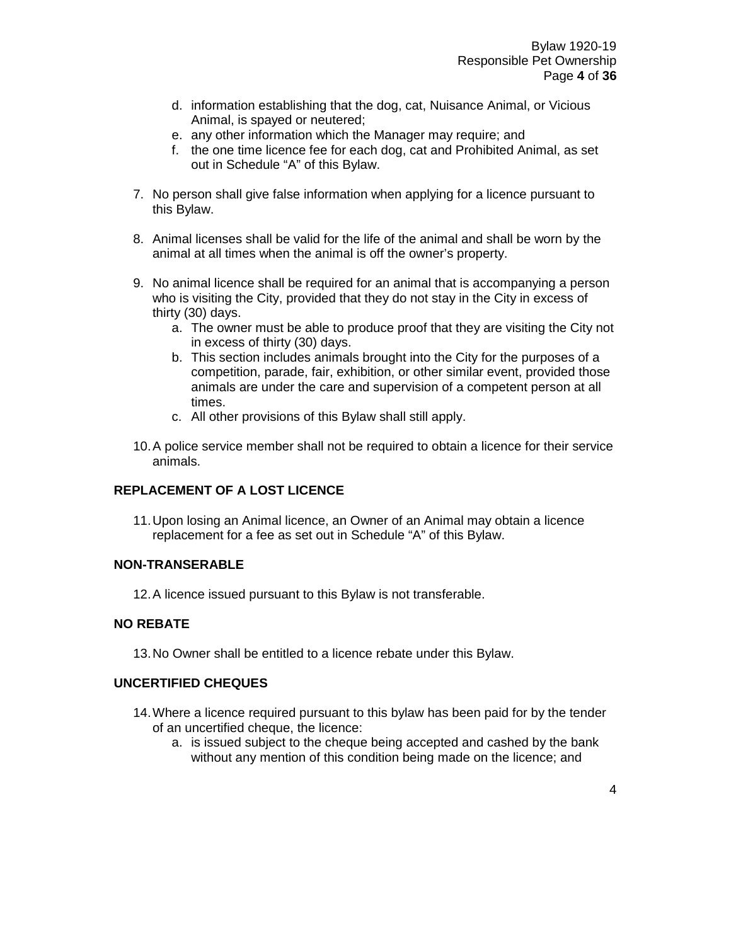- d. information establishing that the dog, cat, Nuisance Animal, or Vicious Animal, is spayed or neutered;
- e. any other information which the Manager may require; and
- f. the one time licence fee for each dog, cat and Prohibited Animal, as set out in Schedule "A" of this Bylaw.
- 7. No person shall give false information when applying for a licence pursuant to this Bylaw.
- 8. Animal licenses shall be valid for the life of the animal and shall be worn by the animal at all times when the animal is off the owner's property.
- 9. No animal licence shall be required for an animal that is accompanying a person who is visiting the City, provided that they do not stay in the City in excess of thirty (30) days.
	- a. The owner must be able to produce proof that they are visiting the City not in excess of thirty (30) days.
	- b. This section includes animals brought into the City for the purposes of a competition, parade, fair, exhibition, or other similar event, provided those animals are under the care and supervision of a competent person at all times.
	- c. All other provisions of this Bylaw shall still apply.
- 10.A police service member shall not be required to obtain a licence for their service animals.

#### **REPLACEMENT OF A LOST LICENCE**

11.Upon losing an Animal licence, an Owner of an Animal may obtain a licence replacement for a fee as set out in Schedule "A" of this Bylaw.

#### **NON-TRANSERABLE**

12.A licence issued pursuant to this Bylaw is not transferable.

#### **NO REBATE**

13.No Owner shall be entitled to a licence rebate under this Bylaw.

#### **UNCERTIFIED CHEQUES**

- 14.Where a licence required pursuant to this bylaw has been paid for by the tender of an uncertified cheque, the licence:
	- a. is issued subject to the cheque being accepted and cashed by the bank without any mention of this condition being made on the licence; and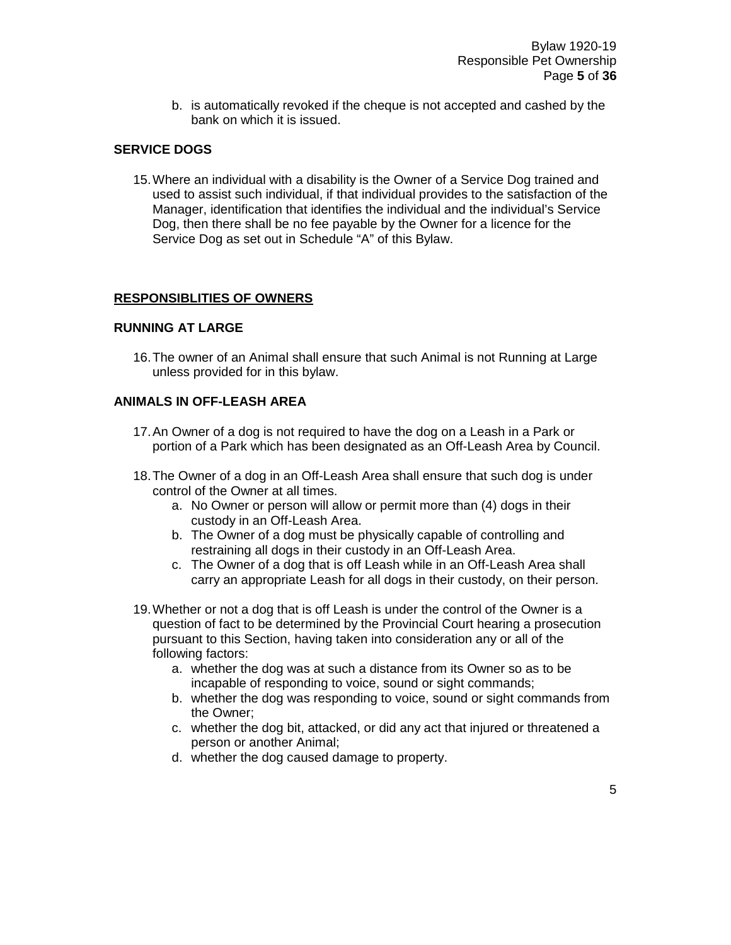b. is automatically revoked if the cheque is not accepted and cashed by the bank on which it is issued.

#### **SERVICE DOGS**

15.Where an individual with a disability is the Owner of a Service Dog trained and used to assist such individual, if that individual provides to the satisfaction of the Manager, identification that identifies the individual and the individual's Service Dog, then there shall be no fee payable by the Owner for a licence for the Service Dog as set out in Schedule "A" of this Bylaw.

#### **RESPONSIBLITIES OF OWNERS**

#### **RUNNING AT LARGE**

16.The owner of an Animal shall ensure that such Animal is not Running at Large unless provided for in this bylaw.

#### **ANIMALS IN OFF-LEASH AREA**

- 17.An Owner of a dog is not required to have the dog on a Leash in a Park or portion of a Park which has been designated as an Off-Leash Area by Council.
- 18.The Owner of a dog in an Off-Leash Area shall ensure that such dog is under control of the Owner at all times.
	- a. No Owner or person will allow or permit more than (4) dogs in their custody in an Off-Leash Area.
	- b. The Owner of a dog must be physically capable of controlling and restraining all dogs in their custody in an Off-Leash Area.
	- c. The Owner of a dog that is off Leash while in an Off-Leash Area shall carry an appropriate Leash for all dogs in their custody, on their person.
- 19.Whether or not a dog that is off Leash is under the control of the Owner is a question of fact to be determined by the Provincial Court hearing a prosecution pursuant to this Section, having taken into consideration any or all of the following factors:
	- a. whether the dog was at such a distance from its Owner so as to be incapable of responding to voice, sound or sight commands;
	- b. whether the dog was responding to voice, sound or sight commands from the Owner;
	- c. whether the dog bit, attacked, or did any act that injured or threatened a person or another Animal;
	- d. whether the dog caused damage to property.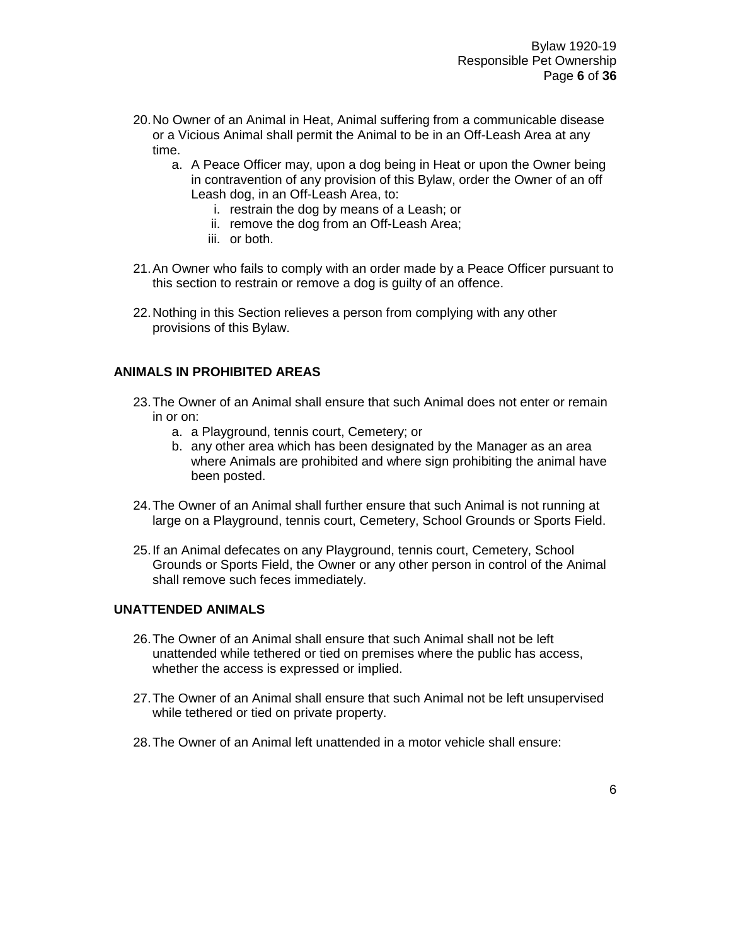- 20.No Owner of an Animal in Heat, Animal suffering from a communicable disease or a Vicious Animal shall permit the Animal to be in an Off-Leash Area at any time.
	- a. A Peace Officer may, upon a dog being in Heat or upon the Owner being in contravention of any provision of this Bylaw, order the Owner of an off Leash dog, in an Off-Leash Area, to:
		- i. restrain the dog by means of a Leash; or
		- ii. remove the dog from an Off-Leash Area;
		- iii. or both.
- 21.An Owner who fails to comply with an order made by a Peace Officer pursuant to this section to restrain or remove a dog is guilty of an offence.
- 22.Nothing in this Section relieves a person from complying with any other provisions of this Bylaw.

#### **ANIMALS IN PROHIBITED AREAS**

- 23.The Owner of an Animal shall ensure that such Animal does not enter or remain in or on:
	- a. a Playground, tennis court, Cemetery; or
	- b. any other area which has been designated by the Manager as an area where Animals are prohibited and where sign prohibiting the animal have been posted.
- 24.The Owner of an Animal shall further ensure that such Animal is not running at large on a Playground, tennis court, Cemetery, School Grounds or Sports Field.
- 25.If an Animal defecates on any Playground, tennis court, Cemetery, School Grounds or Sports Field, the Owner or any other person in control of the Animal shall remove such feces immediately.

#### **UNATTENDED ANIMALS**

- 26.The Owner of an Animal shall ensure that such Animal shall not be left unattended while tethered or tied on premises where the public has access, whether the access is expressed or implied.
- 27.The Owner of an Animal shall ensure that such Animal not be left unsupervised while tethered or tied on private property.
- 28.The Owner of an Animal left unattended in a motor vehicle shall ensure: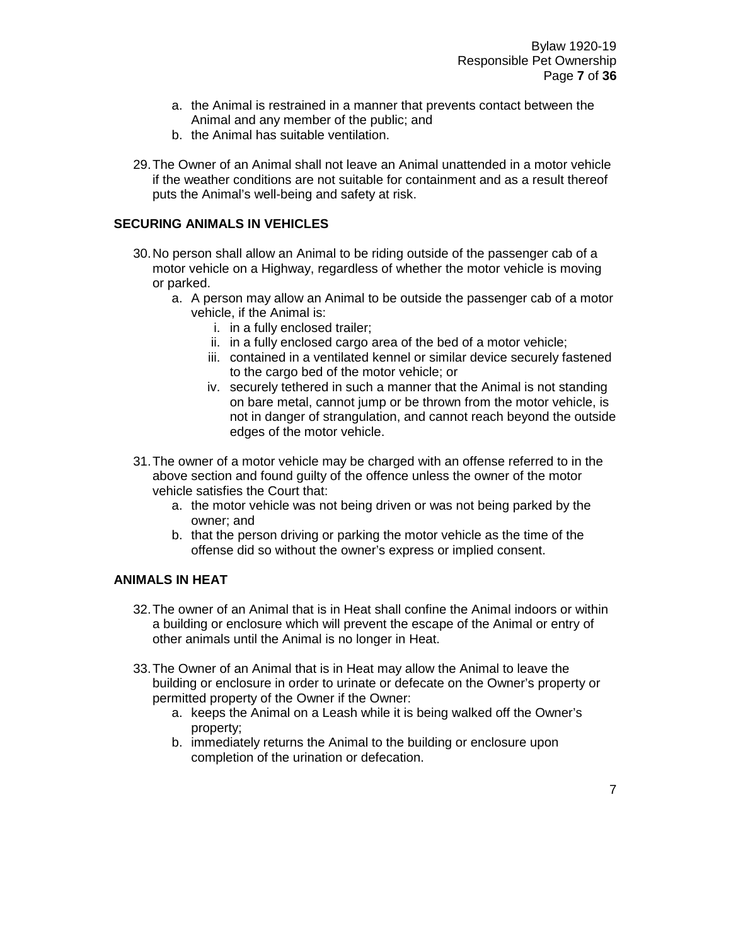- a. the Animal is restrained in a manner that prevents contact between the Animal and any member of the public; and
- b. the Animal has suitable ventilation.
- 29.The Owner of an Animal shall not leave an Animal unattended in a motor vehicle if the weather conditions are not suitable for containment and as a result thereof puts the Animal's well-being and safety at risk.

#### **SECURING ANIMALS IN VEHICLES**

- 30.No person shall allow an Animal to be riding outside of the passenger cab of a motor vehicle on a Highway, regardless of whether the motor vehicle is moving or parked.
	- a. A person may allow an Animal to be outside the passenger cab of a motor vehicle, if the Animal is:
		- i. in a fully enclosed trailer;
		- ii. in a fully enclosed cargo area of the bed of a motor vehicle:
		- iii. contained in a ventilated kennel or similar device securely fastened to the cargo bed of the motor vehicle; or
		- iv. securely tethered in such a manner that the Animal is not standing on bare metal, cannot jump or be thrown from the motor vehicle, is not in danger of strangulation, and cannot reach beyond the outside edges of the motor vehicle.
- 31.The owner of a motor vehicle may be charged with an offense referred to in the above section and found guilty of the offence unless the owner of the motor vehicle satisfies the Court that:
	- a. the motor vehicle was not being driven or was not being parked by the owner; and
	- b. that the person driving or parking the motor vehicle as the time of the offense did so without the owner's express or implied consent.

#### **ANIMALS IN HEAT**

- 32.The owner of an Animal that is in Heat shall confine the Animal indoors or within a building or enclosure which will prevent the escape of the Animal or entry of other animals until the Animal is no longer in Heat.
- 33.The Owner of an Animal that is in Heat may allow the Animal to leave the building or enclosure in order to urinate or defecate on the Owner's property or permitted property of the Owner if the Owner:
	- a. keeps the Animal on a Leash while it is being walked off the Owner's property;
	- b. immediately returns the Animal to the building or enclosure upon completion of the urination or defecation.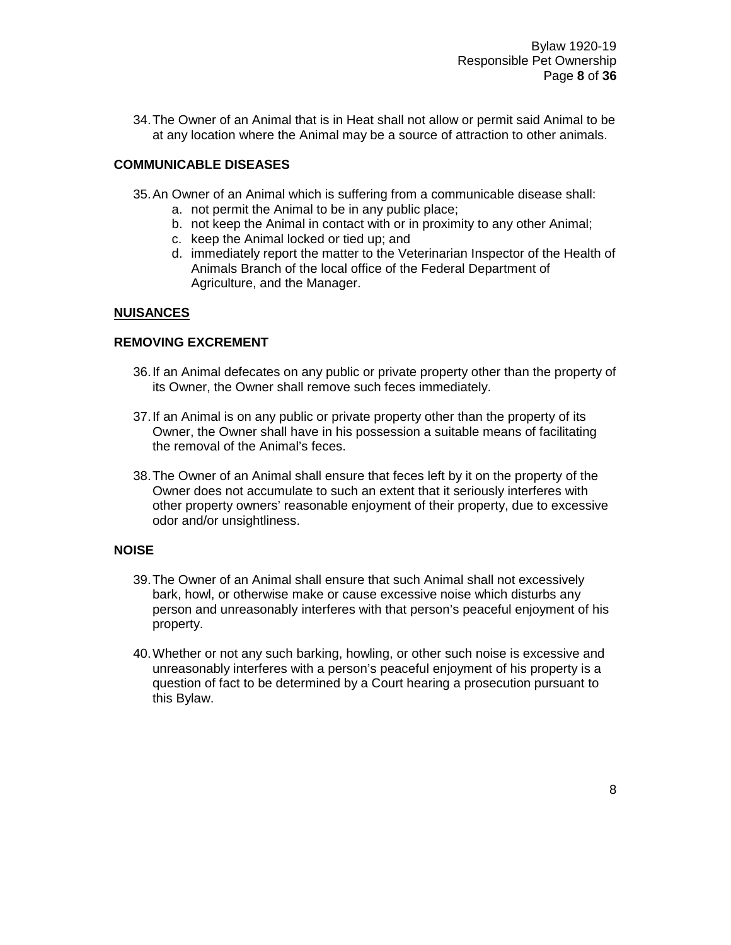34.The Owner of an Animal that is in Heat shall not allow or permit said Animal to be at any location where the Animal may be a source of attraction to other animals.

#### **COMMUNICABLE DISEASES**

- 35.An Owner of an Animal which is suffering from a communicable disease shall:
	- a. not permit the Animal to be in any public place;
	- b. not keep the Animal in contact with or in proximity to any other Animal;
	- c. keep the Animal locked or tied up; and
	- d. immediately report the matter to the Veterinarian Inspector of the Health of Animals Branch of the local office of the Federal Department of Agriculture, and the Manager.

#### **NUISANCES**

#### **REMOVING EXCREMENT**

- 36.If an Animal defecates on any public or private property other than the property of its Owner, the Owner shall remove such feces immediately.
- 37.If an Animal is on any public or private property other than the property of its Owner, the Owner shall have in his possession a suitable means of facilitating the removal of the Animal's feces.
- 38.The Owner of an Animal shall ensure that feces left by it on the property of the Owner does not accumulate to such an extent that it seriously interferes with other property owners' reasonable enjoyment of their property, due to excessive odor and/or unsightliness.

#### **NOISE**

- 39.The Owner of an Animal shall ensure that such Animal shall not excessively bark, howl, or otherwise make or cause excessive noise which disturbs any person and unreasonably interferes with that person's peaceful enjoyment of his property.
- 40.Whether or not any such barking, howling, or other such noise is excessive and unreasonably interferes with a person's peaceful enjoyment of his property is a question of fact to be determined by a Court hearing a prosecution pursuant to this Bylaw.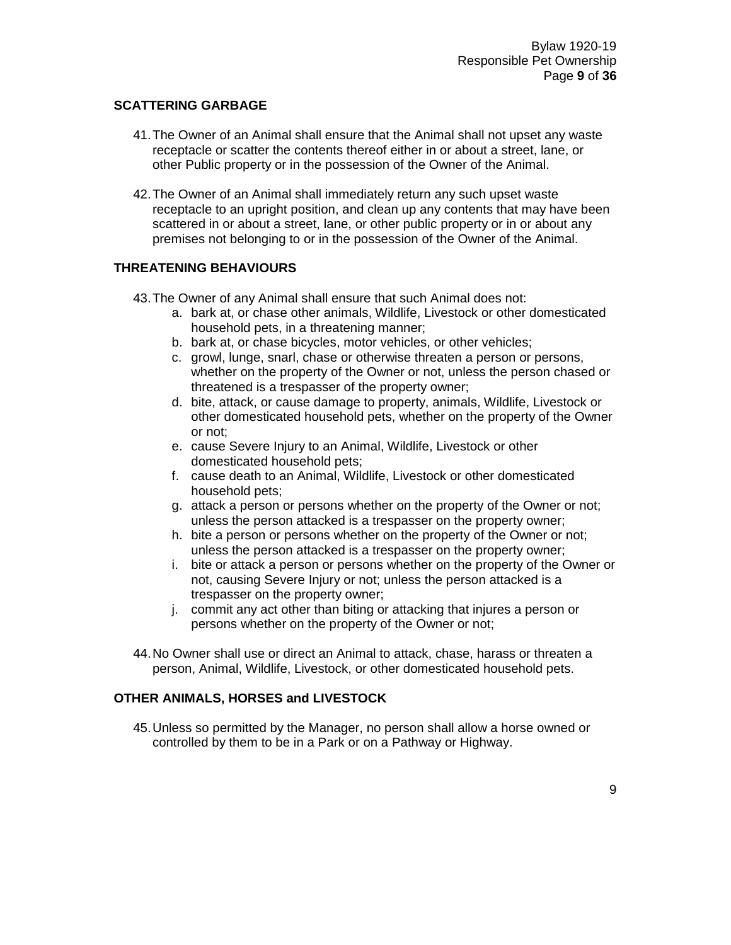#### **SCATTERING GARBAGE**

- 41.The Owner of an Animal shall ensure that the Animal shall not upset any waste receptacle or scatter the contents thereof either in or about a street, lane, or other Public property or in the possession of the Owner of the Animal.
- 42.The Owner of an Animal shall immediately return any such upset waste receptacle to an upright position, and clean up any contents that may have been scattered in or about a street, lane, or other public property or in or about any premises not belonging to or in the possession of the Owner of the Animal.

#### **THREATENING BEHAVIOURS**

- 43.The Owner of any Animal shall ensure that such Animal does not:
	- a. bark at, or chase other animals, Wildlife, Livestock or other domesticated household pets, in a threatening manner;
	- b. bark at, or chase bicycles, motor vehicles, or other vehicles;
	- c. growl, lunge, snarl, chase or otherwise threaten a person or persons, whether on the property of the Owner or not, unless the person chased or threatened is a trespasser of the property owner;
	- d. bite, attack, or cause damage to property, animals, Wildlife, Livestock or other domesticated household pets, whether on the property of the Owner or not;
	- e. cause Severe Injury to an Animal, Wildlife, Livestock or other domesticated household pets;
	- f. cause death to an Animal, Wildlife, Livestock or other domesticated household pets;
	- g. attack a person or persons whether on the property of the Owner or not; unless the person attacked is a trespasser on the property owner;
	- h. bite a person or persons whether on the property of the Owner or not; unless the person attacked is a trespasser on the property owner;
	- i. bite or attack a person or persons whether on the property of the Owner or not, causing Severe Injury or not; unless the person attacked is a trespasser on the property owner;
	- j. commit any act other than biting or attacking that injures a person or persons whether on the property of the Owner or not;
- 44.No Owner shall use or direct an Animal to attack, chase, harass or threaten a person, Animal, Wildlife, Livestock, or other domesticated household pets.

#### **OTHER ANIMALS, HORSES and LIVESTOCK**

45.Unless so permitted by the Manager, no person shall allow a horse owned or controlled by them to be in a Park or on a Pathway or Highway.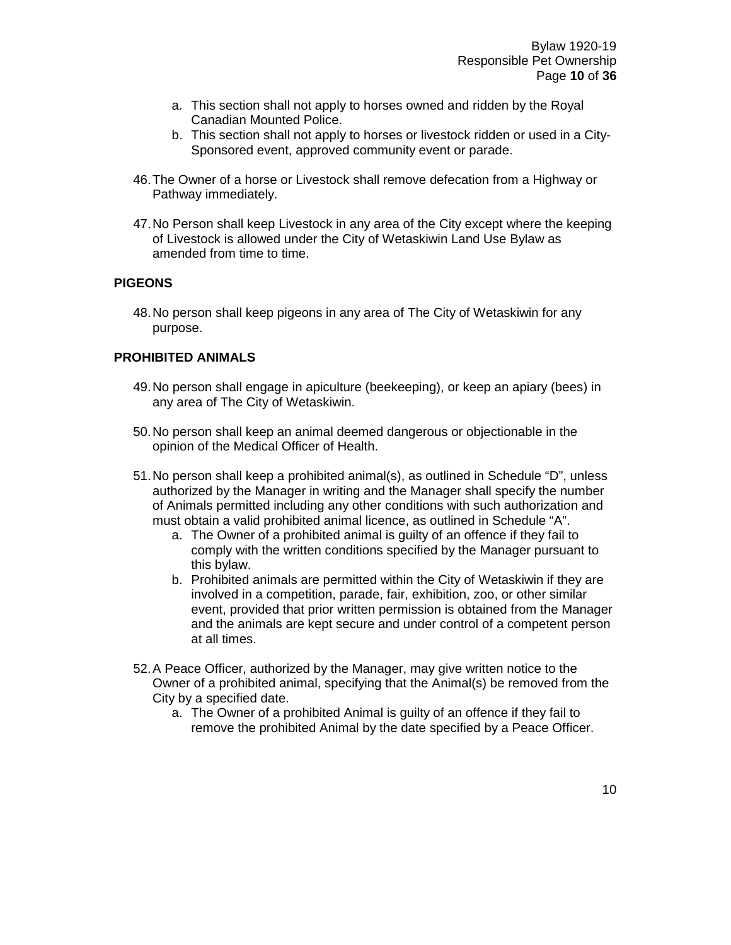- a. This section shall not apply to horses owned and ridden by the Royal Canadian Mounted Police.
- b. This section shall not apply to horses or livestock ridden or used in a City-Sponsored event, approved community event or parade.
- 46.The Owner of a horse or Livestock shall remove defecation from a Highway or Pathway immediately.
- 47.No Person shall keep Livestock in any area of the City except where the keeping of Livestock is allowed under the City of Wetaskiwin Land Use Bylaw as amended from time to time.

#### **PIGEONS**

48.No person shall keep pigeons in any area of The City of Wetaskiwin for any purpose.

#### **PROHIBITED ANIMALS**

- 49.No person shall engage in apiculture (beekeeping), or keep an apiary (bees) in any area of The City of Wetaskiwin.
- 50.No person shall keep an animal deemed dangerous or objectionable in the opinion of the Medical Officer of Health.
- 51.No person shall keep a prohibited animal(s), as outlined in Schedule "D", unless authorized by the Manager in writing and the Manager shall specify the number of Animals permitted including any other conditions with such authorization and must obtain a valid prohibited animal licence, as outlined in Schedule "A".
	- a. The Owner of a prohibited animal is guilty of an offence if they fail to comply with the written conditions specified by the Manager pursuant to this bylaw.
	- b. Prohibited animals are permitted within the City of Wetaskiwin if they are involved in a competition, parade, fair, exhibition, zoo, or other similar event, provided that prior written permission is obtained from the Manager and the animals are kept secure and under control of a competent person at all times.
- 52.A Peace Officer, authorized by the Manager, may give written notice to the Owner of a prohibited animal, specifying that the Animal(s) be removed from the City by a specified date.
	- a. The Owner of a prohibited Animal is guilty of an offence if they fail to remove the prohibited Animal by the date specified by a Peace Officer.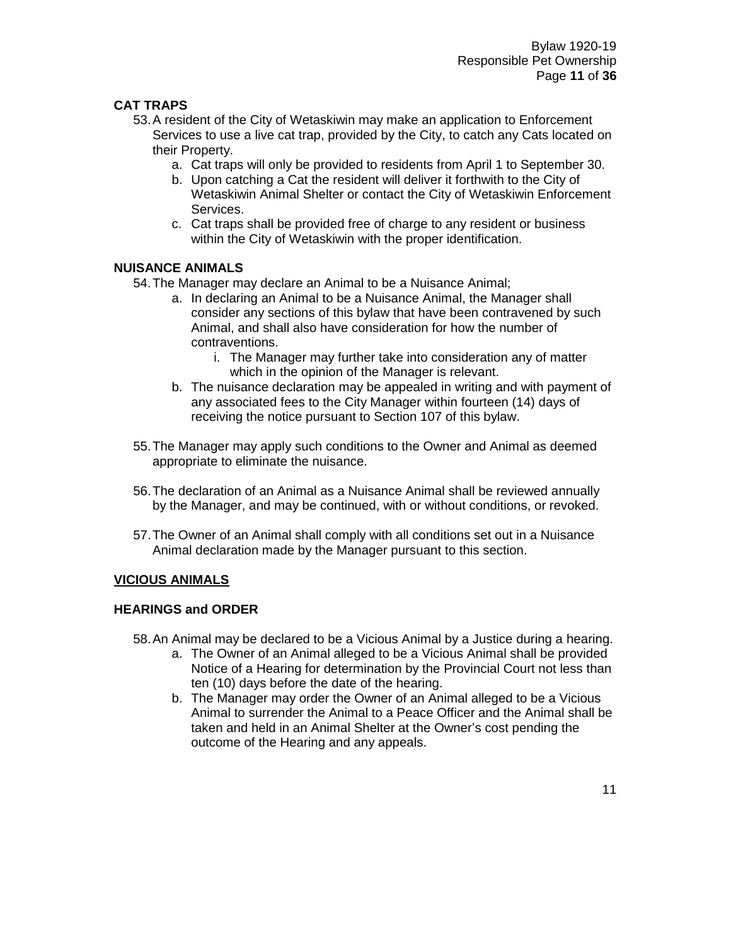#### **CAT TRAPS**

- 53.A resident of the City of Wetaskiwin may make an application to Enforcement Services to use a live cat trap, provided by the City, to catch any Cats located on their Property.
	- a. Cat traps will only be provided to residents from April 1 to September 30.
	- b. Upon catching a Cat the resident will deliver it forthwith to the City of Wetaskiwin Animal Shelter or contact the City of Wetaskiwin Enforcement Services.
	- c. Cat traps shall be provided free of charge to any resident or business within the City of Wetaskiwin with the proper identification.

#### **NUISANCE ANIMALS**

54.The Manager may declare an Animal to be a Nuisance Animal;

- a. In declaring an Animal to be a Nuisance Animal, the Manager shall consider any sections of this bylaw that have been contravened by such Animal, and shall also have consideration for how the number of contraventions.
	- i. The Manager may further take into consideration any of matter which in the opinion of the Manager is relevant.
- b. The nuisance declaration may be appealed in writing and with payment of any associated fees to the City Manager within fourteen (14) days of receiving the notice pursuant to Section 107 of this bylaw.
- 55.The Manager may apply such conditions to the Owner and Animal as deemed appropriate to eliminate the nuisance.
- 56.The declaration of an Animal as a Nuisance Animal shall be reviewed annually by the Manager, and may be continued, with or without conditions, or revoked.
- 57.The Owner of an Animal shall comply with all conditions set out in a Nuisance Animal declaration made by the Manager pursuant to this section.

#### **VICIOUS ANIMALS**

#### **HEARINGS and ORDER**

- 58.An Animal may be declared to be a Vicious Animal by a Justice during a hearing.
	- a. The Owner of an Animal alleged to be a Vicious Animal shall be provided Notice of a Hearing for determination by the Provincial Court not less than ten (10) days before the date of the hearing.
	- b. The Manager may order the Owner of an Animal alleged to be a Vicious Animal to surrender the Animal to a Peace Officer and the Animal shall be taken and held in an Animal Shelter at the Owner's cost pending the outcome of the Hearing and any appeals.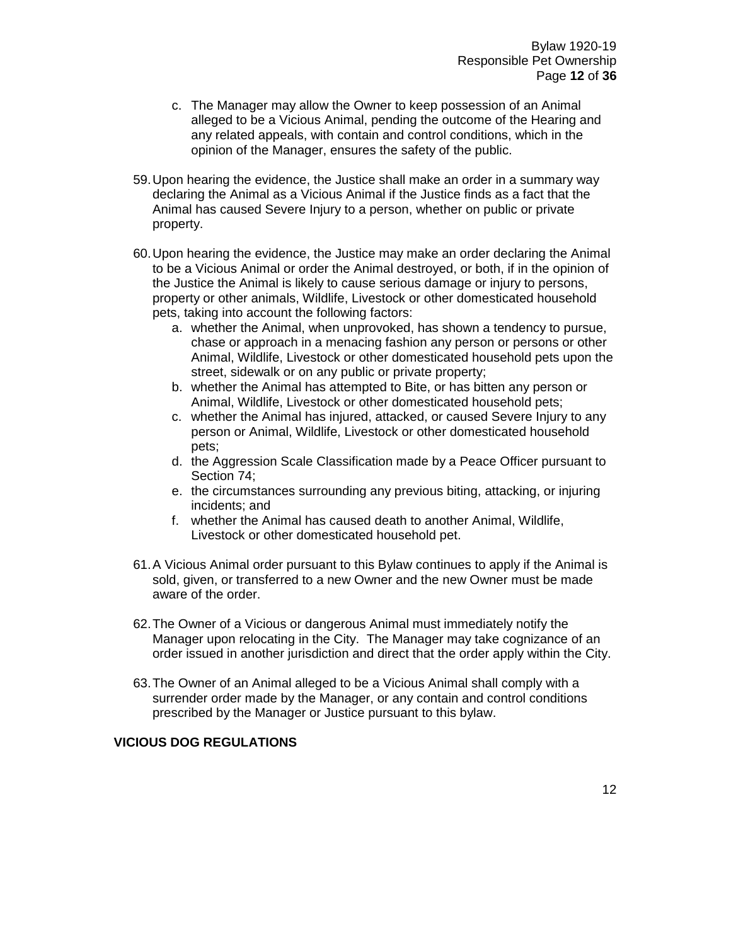- c. The Manager may allow the Owner to keep possession of an Animal alleged to be a Vicious Animal, pending the outcome of the Hearing and any related appeals, with contain and control conditions, which in the opinion of the Manager, ensures the safety of the public.
- 59.Upon hearing the evidence, the Justice shall make an order in a summary way declaring the Animal as a Vicious Animal if the Justice finds as a fact that the Animal has caused Severe Injury to a person, whether on public or private property.
- 60.Upon hearing the evidence, the Justice may make an order declaring the Animal to be a Vicious Animal or order the Animal destroyed, or both, if in the opinion of the Justice the Animal is likely to cause serious damage or injury to persons, property or other animals, Wildlife, Livestock or other domesticated household pets, taking into account the following factors:
	- a. whether the Animal, when unprovoked, has shown a tendency to pursue, chase or approach in a menacing fashion any person or persons or other Animal, Wildlife, Livestock or other domesticated household pets upon the street, sidewalk or on any public or private property;
	- b. whether the Animal has attempted to Bite, or has bitten any person or Animal, Wildlife, Livestock or other domesticated household pets;
	- c. whether the Animal has injured, attacked, or caused Severe Injury to any person or Animal, Wildlife, Livestock or other domesticated household pets;
	- d. the Aggression Scale Classification made by a Peace Officer pursuant to Section 74;
	- e. the circumstances surrounding any previous biting, attacking, or injuring incidents; and
	- f. whether the Animal has caused death to another Animal, Wildlife, Livestock or other domesticated household pet.
- 61.A Vicious Animal order pursuant to this Bylaw continues to apply if the Animal is sold, given, or transferred to a new Owner and the new Owner must be made aware of the order.
- 62.The Owner of a Vicious or dangerous Animal must immediately notify the Manager upon relocating in the City. The Manager may take cognizance of an order issued in another jurisdiction and direct that the order apply within the City.
- 63.The Owner of an Animal alleged to be a Vicious Animal shall comply with a surrender order made by the Manager, or any contain and control conditions prescribed by the Manager or Justice pursuant to this bylaw.

#### **VICIOUS DOG REGULATIONS**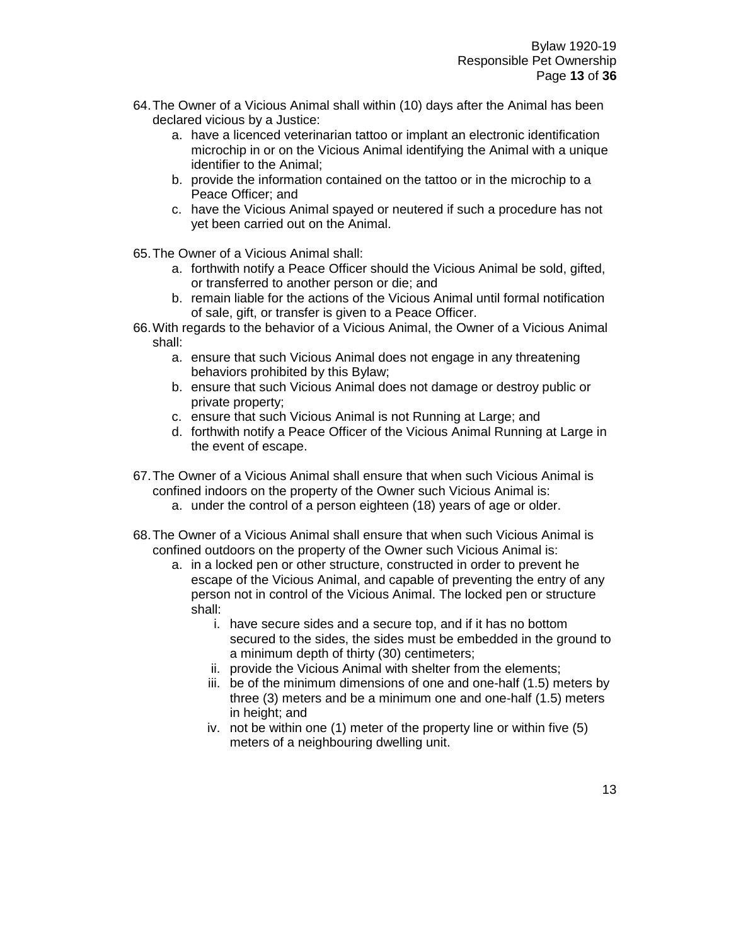- 64.The Owner of a Vicious Animal shall within (10) days after the Animal has been declared vicious by a Justice:
	- a. have a licenced veterinarian tattoo or implant an electronic identification microchip in or on the Vicious Animal identifying the Animal with a unique identifier to the Animal;
	- b. provide the information contained on the tattoo or in the microchip to a Peace Officer; and
	- c. have the Vicious Animal spayed or neutered if such a procedure has not yet been carried out on the Animal.
- 65.The Owner of a Vicious Animal shall:
	- a. forthwith notify a Peace Officer should the Vicious Animal be sold, gifted, or transferred to another person or die; and
	- b. remain liable for the actions of the Vicious Animal until formal notification of sale, gift, or transfer is given to a Peace Officer.
- 66.With regards to the behavior of a Vicious Animal, the Owner of a Vicious Animal shall:
	- a. ensure that such Vicious Animal does not engage in any threatening behaviors prohibited by this Bylaw;
	- b. ensure that such Vicious Animal does not damage or destroy public or private property;
	- c. ensure that such Vicious Animal is not Running at Large; and
	- d. forthwith notify a Peace Officer of the Vicious Animal Running at Large in the event of escape.
- 67.The Owner of a Vicious Animal shall ensure that when such Vicious Animal is confined indoors on the property of the Owner such Vicious Animal is:
	- a. under the control of a person eighteen (18) years of age or older.
- 68.The Owner of a Vicious Animal shall ensure that when such Vicious Animal is confined outdoors on the property of the Owner such Vicious Animal is:
	- a. in a locked pen or other structure, constructed in order to prevent he escape of the Vicious Animal, and capable of preventing the entry of any person not in control of the Vicious Animal. The locked pen or structure shall:
		- i. have secure sides and a secure top, and if it has no bottom secured to the sides, the sides must be embedded in the ground to a minimum depth of thirty (30) centimeters;
		- ii. provide the Vicious Animal with shelter from the elements;
		- iii. be of the minimum dimensions of one and one-half (1.5) meters by three (3) meters and be a minimum one and one-half (1.5) meters in height; and
		- iv. not be within one (1) meter of the property line or within five (5) meters of a neighbouring dwelling unit.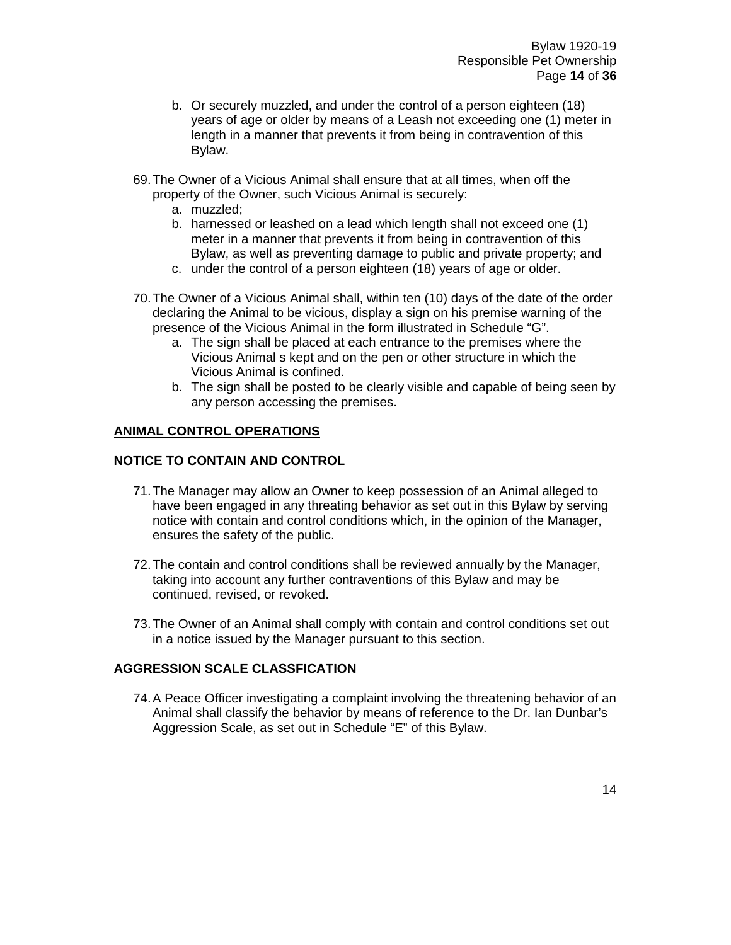- b. Or securely muzzled, and under the control of a person eighteen (18) years of age or older by means of a Leash not exceeding one (1) meter in length in a manner that prevents it from being in contravention of this Bylaw.
- 69.The Owner of a Vicious Animal shall ensure that at all times, when off the property of the Owner, such Vicious Animal is securely:
	- a. muzzled;
	- b. harnessed or leashed on a lead which length shall not exceed one (1) meter in a manner that prevents it from being in contravention of this Bylaw, as well as preventing damage to public and private property; and
	- c. under the control of a person eighteen (18) years of age or older.
- 70.The Owner of a Vicious Animal shall, within ten (10) days of the date of the order declaring the Animal to be vicious, display a sign on his premise warning of the presence of the Vicious Animal in the form illustrated in Schedule "G".
	- a. The sign shall be placed at each entrance to the premises where the Vicious Animal s kept and on the pen or other structure in which the Vicious Animal is confined.
	- b. The sign shall be posted to be clearly visible and capable of being seen by any person accessing the premises.

#### **ANIMAL CONTROL OPERATIONS**

#### **NOTICE TO CONTAIN AND CONTROL**

- 71.The Manager may allow an Owner to keep possession of an Animal alleged to have been engaged in any threating behavior as set out in this Bylaw by serving notice with contain and control conditions which, in the opinion of the Manager, ensures the safety of the public.
- 72.The contain and control conditions shall be reviewed annually by the Manager, taking into account any further contraventions of this Bylaw and may be continued, revised, or revoked.
- 73.The Owner of an Animal shall comply with contain and control conditions set out in a notice issued by the Manager pursuant to this section.

#### **AGGRESSION SCALE CLASSFICATION**

74.A Peace Officer investigating a complaint involving the threatening behavior of an Animal shall classify the behavior by means of reference to the Dr. Ian Dunbar's Aggression Scale, as set out in Schedule "E" of this Bylaw.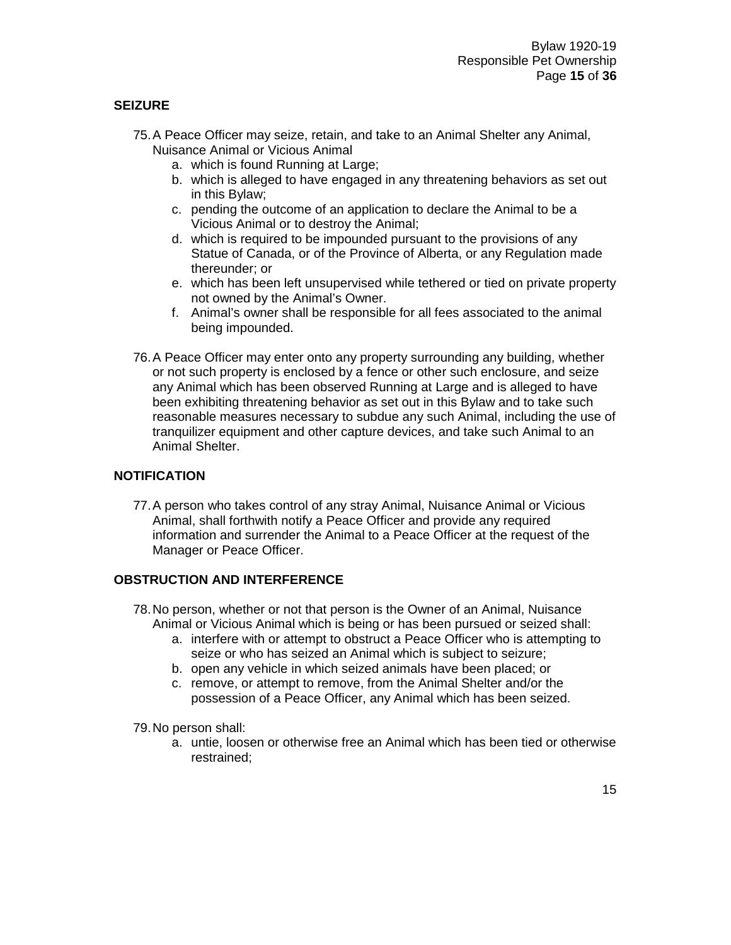### **SEIZURE**

- 75.A Peace Officer may seize, retain, and take to an Animal Shelter any Animal, Nuisance Animal or Vicious Animal
	- a. which is found Running at Large;
	- b. which is alleged to have engaged in any threatening behaviors as set out in this Bylaw;
	- c. pending the outcome of an application to declare the Animal to be a Vicious Animal or to destroy the Animal;
	- d. which is required to be impounded pursuant to the provisions of any Statue of Canada, or of the Province of Alberta, or any Regulation made thereunder; or
	- e. which has been left unsupervised while tethered or tied on private property not owned by the Animal's Owner.
	- f. Animal's owner shall be responsible for all fees associated to the animal being impounded.
- 76.A Peace Officer may enter onto any property surrounding any building, whether or not such property is enclosed by a fence or other such enclosure, and seize any Animal which has been observed Running at Large and is alleged to have been exhibiting threatening behavior as set out in this Bylaw and to take such reasonable measures necessary to subdue any such Animal, including the use of tranquilizer equipment and other capture devices, and take such Animal to an Animal Shelter.

#### **NOTIFICATION**

77.A person who takes control of any stray Animal, Nuisance Animal or Vicious Animal, shall forthwith notify a Peace Officer and provide any required information and surrender the Animal to a Peace Officer at the request of the Manager or Peace Officer.

#### **OBSTRUCTION AND INTERFERENCE**

- 78.No person, whether or not that person is the Owner of an Animal, Nuisance Animal or Vicious Animal which is being or has been pursued or seized shall:
	- a. interfere with or attempt to obstruct a Peace Officer who is attempting to seize or who has seized an Animal which is subject to seizure;
	- b. open any vehicle in which seized animals have been placed; or
	- c. remove, or attempt to remove, from the Animal Shelter and/or the possession of a Peace Officer, any Animal which has been seized.

79.No person shall:

a. untie, loosen or otherwise free an Animal which has been tied or otherwise restrained;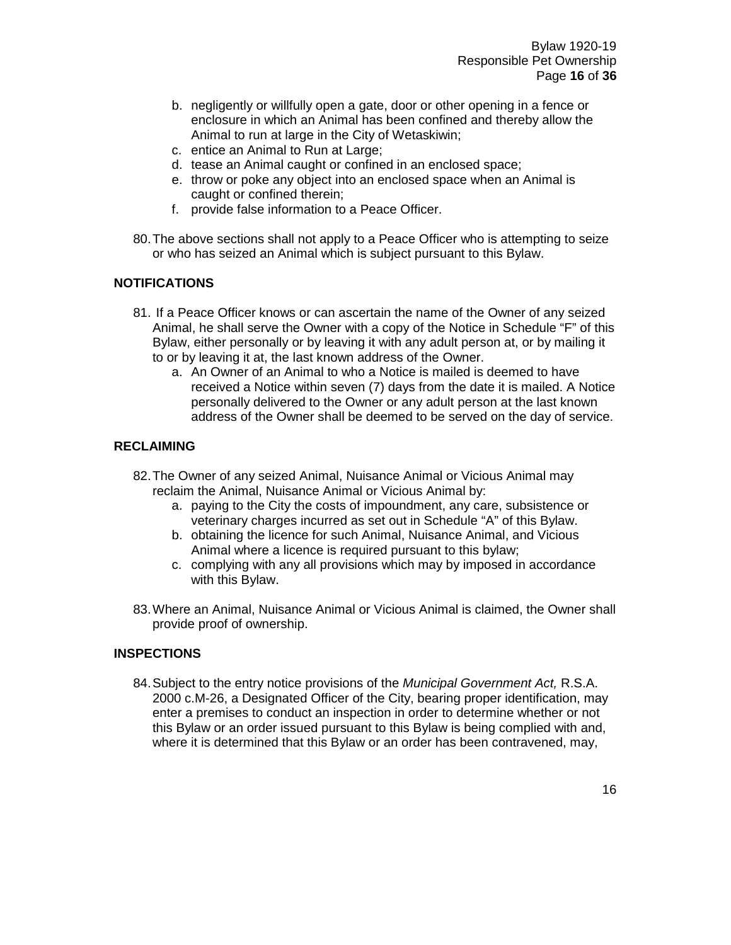- b. negligently or willfully open a gate, door or other opening in a fence or enclosure in which an Animal has been confined and thereby allow the Animal to run at large in the City of Wetaskiwin;
- c. entice an Animal to Run at Large;
- d. tease an Animal caught or confined in an enclosed space;
- e. throw or poke any object into an enclosed space when an Animal is caught or confined therein;
- f. provide false information to a Peace Officer.
- 80.The above sections shall not apply to a Peace Officer who is attempting to seize or who has seized an Animal which is subject pursuant to this Bylaw.

#### **NOTIFICATIONS**

- 81. If a Peace Officer knows or can ascertain the name of the Owner of any seized Animal, he shall serve the Owner with a copy of the Notice in Schedule "F" of this Bylaw, either personally or by leaving it with any adult person at, or by mailing it to or by leaving it at, the last known address of the Owner.
	- a. An Owner of an Animal to who a Notice is mailed is deemed to have received a Notice within seven (7) days from the date it is mailed. A Notice personally delivered to the Owner or any adult person at the last known address of the Owner shall be deemed to be served on the day of service.

#### **RECLAIMING**

- 82.The Owner of any seized Animal, Nuisance Animal or Vicious Animal may reclaim the Animal, Nuisance Animal or Vicious Animal by:
	- a. paying to the City the costs of impoundment, any care, subsistence or veterinary charges incurred as set out in Schedule "A" of this Bylaw.
	- b. obtaining the licence for such Animal, Nuisance Animal, and Vicious Animal where a licence is required pursuant to this bylaw;
	- c. complying with any all provisions which may by imposed in accordance with this Bylaw.
- 83.Where an Animal, Nuisance Animal or Vicious Animal is claimed, the Owner shall provide proof of ownership.

#### **INSPECTIONS**

84.Subject to the entry notice provisions of the *Municipal Government Act,* R.S.A. 2000 c.M-26, a Designated Officer of the City, bearing proper identification, may enter a premises to conduct an inspection in order to determine whether or not this Bylaw or an order issued pursuant to this Bylaw is being complied with and, where it is determined that this Bylaw or an order has been contravened, may,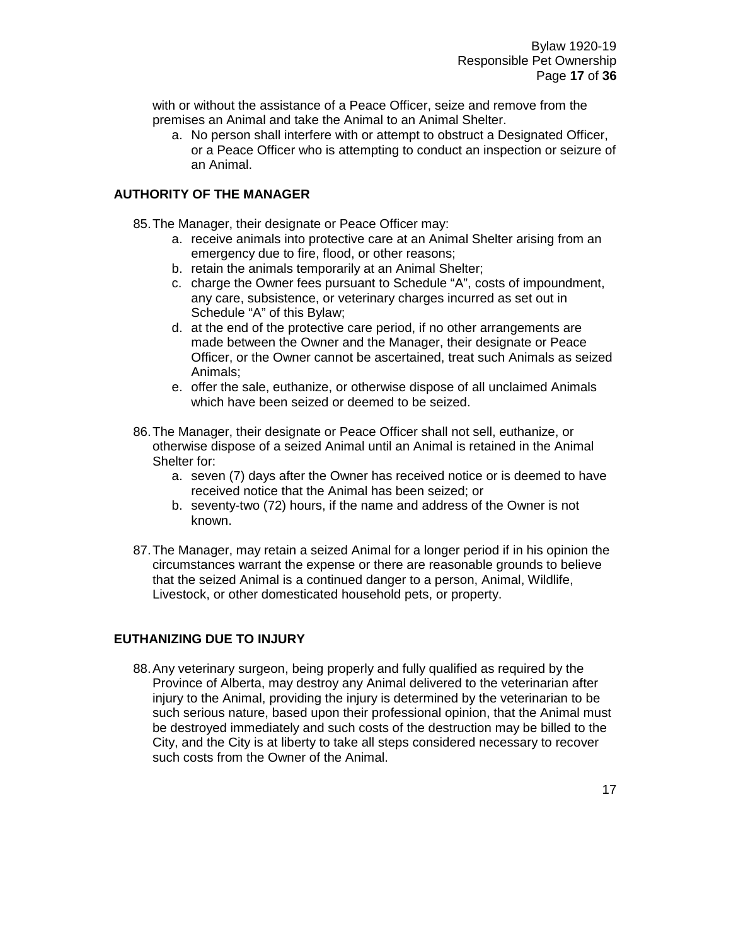with or without the assistance of a Peace Officer, seize and remove from the premises an Animal and take the Animal to an Animal Shelter.

a. No person shall interfere with or attempt to obstruct a Designated Officer, or a Peace Officer who is attempting to conduct an inspection or seizure of an Animal.

#### **AUTHORITY OF THE MANAGER**

85.The Manager, their designate or Peace Officer may:

- a. receive animals into protective care at an Animal Shelter arising from an emergency due to fire, flood, or other reasons;
- b. retain the animals temporarily at an Animal Shelter;
- c. charge the Owner fees pursuant to Schedule "A", costs of impoundment, any care, subsistence, or veterinary charges incurred as set out in Schedule "A" of this Bylaw;
- d. at the end of the protective care period, if no other arrangements are made between the Owner and the Manager, their designate or Peace Officer, or the Owner cannot be ascertained, treat such Animals as seized Animals;
- e. offer the sale, euthanize, or otherwise dispose of all unclaimed Animals which have been seized or deemed to be seized.
- 86.The Manager, their designate or Peace Officer shall not sell, euthanize, or otherwise dispose of a seized Animal until an Animal is retained in the Animal Shelter for:
	- a. seven (7) days after the Owner has received notice or is deemed to have received notice that the Animal has been seized; or
	- b. seventy-two (72) hours, if the name and address of the Owner is not known.
- 87.The Manager, may retain a seized Animal for a longer period if in his opinion the circumstances warrant the expense or there are reasonable grounds to believe that the seized Animal is a continued danger to a person, Animal, Wildlife, Livestock, or other domesticated household pets, or property.

#### **EUTHANIZING DUE TO INJURY**

88.Any veterinary surgeon, being properly and fully qualified as required by the Province of Alberta, may destroy any Animal delivered to the veterinarian after injury to the Animal, providing the injury is determined by the veterinarian to be such serious nature, based upon their professional opinion, that the Animal must be destroyed immediately and such costs of the destruction may be billed to the City, and the City is at liberty to take all steps considered necessary to recover such costs from the Owner of the Animal.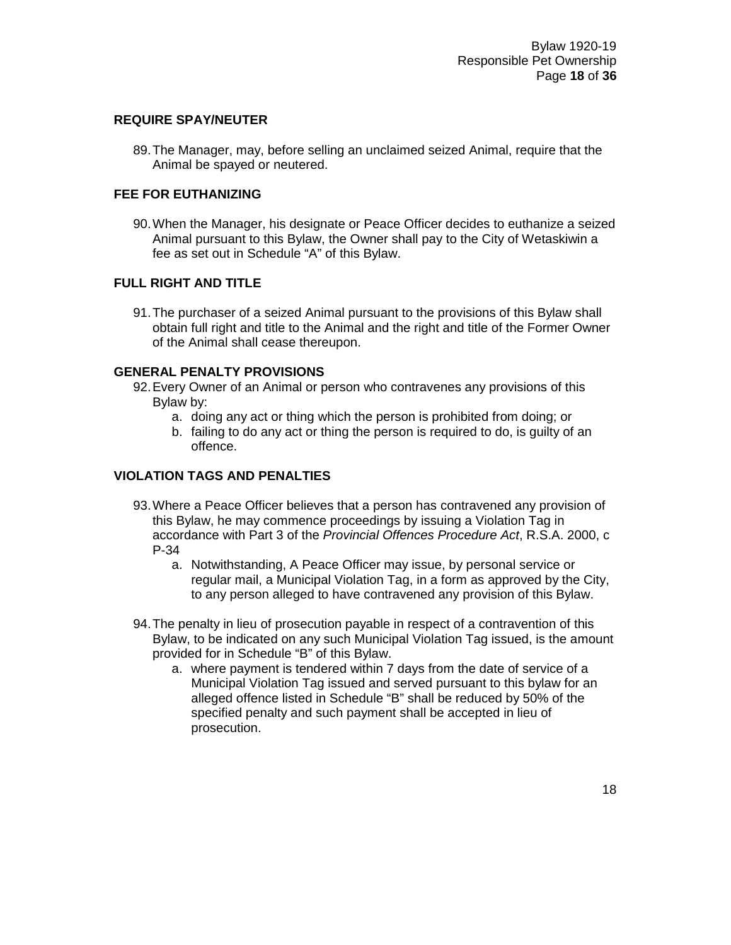#### **REQUIRE SPAY/NEUTER**

89.The Manager, may, before selling an unclaimed seized Animal, require that the Animal be spayed or neutered.

#### **FEE FOR EUTHANIZING**

90.When the Manager, his designate or Peace Officer decides to euthanize a seized Animal pursuant to this Bylaw, the Owner shall pay to the City of Wetaskiwin a fee as set out in Schedule "A" of this Bylaw.

#### **FULL RIGHT AND TITLE**

91.The purchaser of a seized Animal pursuant to the provisions of this Bylaw shall obtain full right and title to the Animal and the right and title of the Former Owner of the Animal shall cease thereupon.

#### **GENERAL PENALTY PROVISIONS**

- 92.Every Owner of an Animal or person who contravenes any provisions of this Bylaw by:
	- a. doing any act or thing which the person is prohibited from doing; or
	- b. failing to do any act or thing the person is required to do, is guilty of an offence.

#### **VIOLATION TAGS AND PENALTIES**

- 93.Where a Peace Officer believes that a person has contravened any provision of this Bylaw, he may commence proceedings by issuing a Violation Tag in accordance with Part 3 of the *Provincial Offences Procedure Act*, R.S.A. 2000, c P-34
	- a. Notwithstanding, A Peace Officer may issue, by personal service or regular mail, a Municipal Violation Tag, in a form as approved by the City, to any person alleged to have contravened any provision of this Bylaw.
- 94.The penalty in lieu of prosecution payable in respect of a contravention of this Bylaw, to be indicated on any such Municipal Violation Tag issued, is the amount provided for in Schedule "B" of this Bylaw.
	- a. where payment is tendered within 7 days from the date of service of a Municipal Violation Tag issued and served pursuant to this bylaw for an alleged offence listed in Schedule "B" shall be reduced by 50% of the specified penalty and such payment shall be accepted in lieu of prosecution.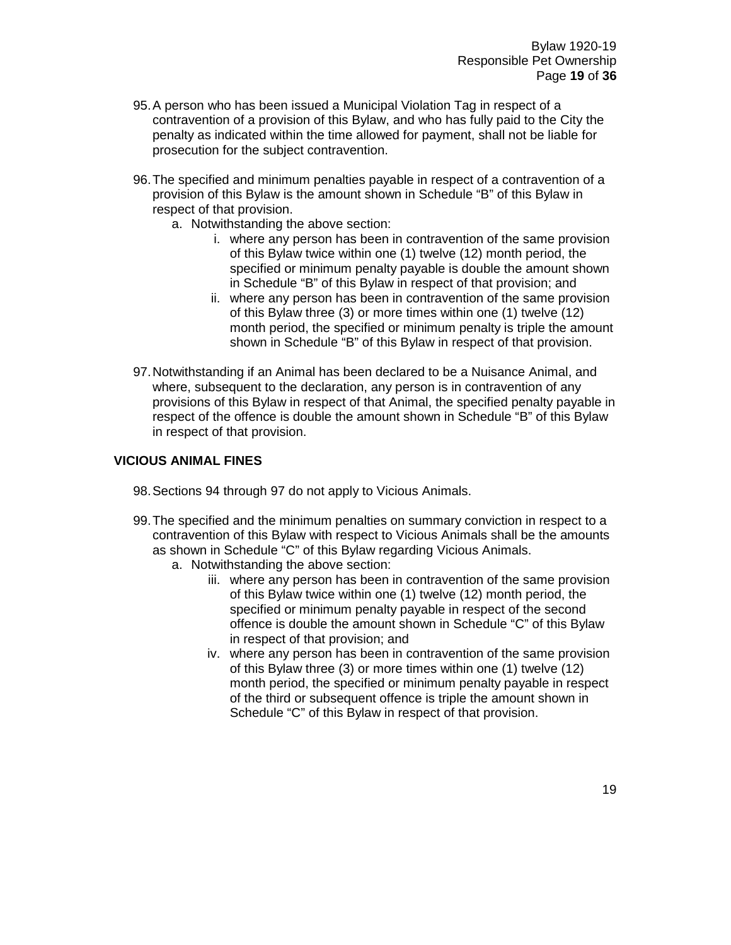- 95.A person who has been issued a Municipal Violation Tag in respect of a contravention of a provision of this Bylaw, and who has fully paid to the City the penalty as indicated within the time allowed for payment, shall not be liable for prosecution for the subject contravention.
- 96.The specified and minimum penalties payable in respect of a contravention of a provision of this Bylaw is the amount shown in Schedule "B" of this Bylaw in respect of that provision.
	- a. Notwithstanding the above section:
		- i. where any person has been in contravention of the same provision of this Bylaw twice within one (1) twelve (12) month period, the specified or minimum penalty payable is double the amount shown in Schedule "B" of this Bylaw in respect of that provision; and
		- ii. where any person has been in contravention of the same provision of this Bylaw three (3) or more times within one (1) twelve (12) month period, the specified or minimum penalty is triple the amount shown in Schedule "B" of this Bylaw in respect of that provision.
- 97.Notwithstanding if an Animal has been declared to be a Nuisance Animal, and where, subsequent to the declaration, any person is in contravention of any provisions of this Bylaw in respect of that Animal, the specified penalty payable in respect of the offence is double the amount shown in Schedule "B" of this Bylaw in respect of that provision.

#### **VICIOUS ANIMAL FINES**

- 98.Sections 94 through 97 do not apply to Vicious Animals.
- 99.The specified and the minimum penalties on summary conviction in respect to a contravention of this Bylaw with respect to Vicious Animals shall be the amounts as shown in Schedule "C" of this Bylaw regarding Vicious Animals.
	- a. Notwithstanding the above section:
		- iii. where any person has been in contravention of the same provision of this Bylaw twice within one (1) twelve (12) month period, the specified or minimum penalty payable in respect of the second offence is double the amount shown in Schedule "C" of this Bylaw in respect of that provision; and
		- iv. where any person has been in contravention of the same provision of this Bylaw three (3) or more times within one (1) twelve (12) month period, the specified or minimum penalty payable in respect of the third or subsequent offence is triple the amount shown in Schedule "C" of this Bylaw in respect of that provision.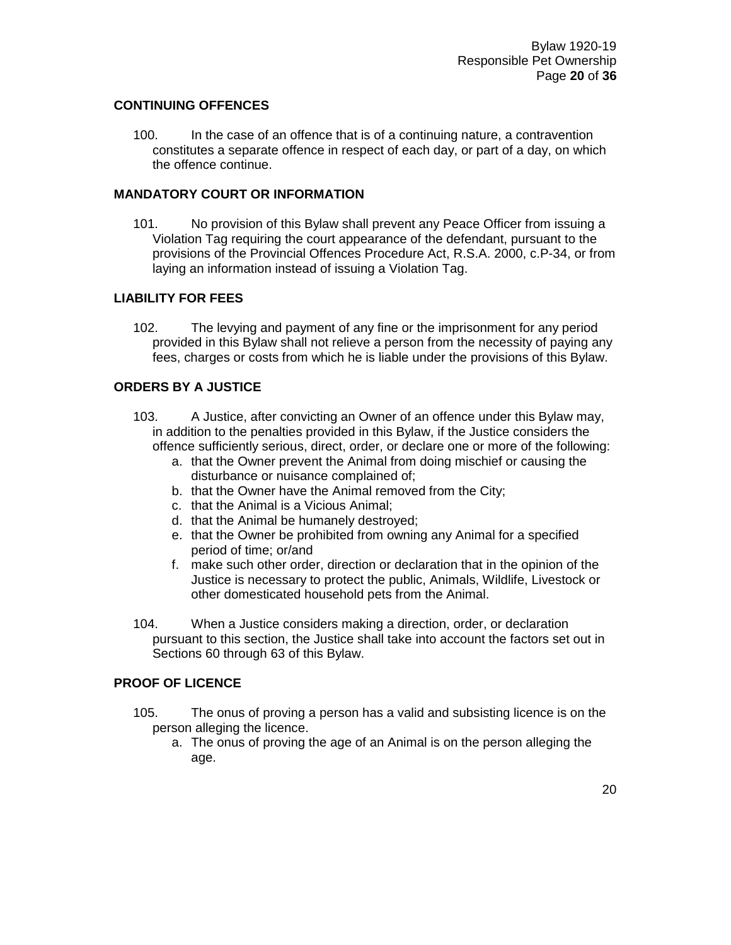#### **CONTINUING OFFENCES**

100. In the case of an offence that is of a continuing nature, a contravention constitutes a separate offence in respect of each day, or part of a day, on which the offence continue.

#### **MANDATORY COURT OR INFORMATION**

101. No provision of this Bylaw shall prevent any Peace Officer from issuing a Violation Tag requiring the court appearance of the defendant, pursuant to the provisions of the Provincial Offences Procedure Act, R.S.A. 2000, c.P-34, or from laying an information instead of issuing a Violation Tag.

#### **LIABILITY FOR FEES**

102. The levying and payment of any fine or the imprisonment for any period provided in this Bylaw shall not relieve a person from the necessity of paying any fees, charges or costs from which he is liable under the provisions of this Bylaw.

#### **ORDERS BY A JUSTICE**

- 103. A Justice, after convicting an Owner of an offence under this Bylaw may, in addition to the penalties provided in this Bylaw, if the Justice considers the offence sufficiently serious, direct, order, or declare one or more of the following:
	- a. that the Owner prevent the Animal from doing mischief or causing the disturbance or nuisance complained of;
	- b. that the Owner have the Animal removed from the City;
	- c. that the Animal is a Vicious Animal;
	- d. that the Animal be humanely destroyed;
	- e. that the Owner be prohibited from owning any Animal for a specified period of time; or/and
	- f. make such other order, direction or declaration that in the opinion of the Justice is necessary to protect the public, Animals, Wildlife, Livestock or other domesticated household pets from the Animal.
- 104. When a Justice considers making a direction, order, or declaration pursuant to this section, the Justice shall take into account the factors set out in Sections 60 through 63 of this Bylaw.

#### **PROOF OF LICENCE**

- 105. The onus of proving a person has a valid and subsisting licence is on the person alleging the licence.
	- a. The onus of proving the age of an Animal is on the person alleging the age.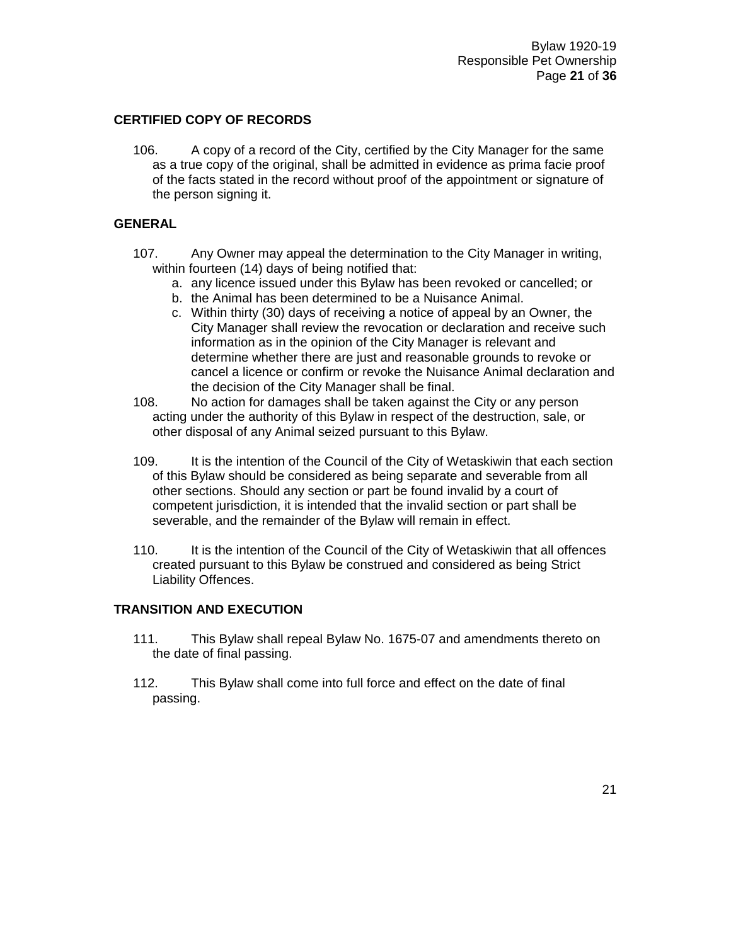#### **CERTIFIED COPY OF RECORDS**

106. A copy of a record of the City, certified by the City Manager for the same as a true copy of the original, shall be admitted in evidence as prima facie proof of the facts stated in the record without proof of the appointment or signature of the person signing it.

#### **GENERAL**

- 107. Any Owner may appeal the determination to the City Manager in writing, within fourteen (14) days of being notified that:
	- a. any licence issued under this Bylaw has been revoked or cancelled; or
	- b. the Animal has been determined to be a Nuisance Animal.
	- c. Within thirty (30) days of receiving a notice of appeal by an Owner, the City Manager shall review the revocation or declaration and receive such information as in the opinion of the City Manager is relevant and determine whether there are just and reasonable grounds to revoke or cancel a licence or confirm or revoke the Nuisance Animal declaration and the decision of the City Manager shall be final.
- 108. No action for damages shall be taken against the City or any person acting under the authority of this Bylaw in respect of the destruction, sale, or other disposal of any Animal seized pursuant to this Bylaw.
- 109. It is the intention of the Council of the City of Wetaskiwin that each section of this Bylaw should be considered as being separate and severable from all other sections. Should any section or part be found invalid by a court of competent jurisdiction, it is intended that the invalid section or part shall be severable, and the remainder of the Bylaw will remain in effect.
- 110. It is the intention of the Council of the City of Wetaskiwin that all offences created pursuant to this Bylaw be construed and considered as being Strict Liability Offences.

#### **TRANSITION AND EXECUTION**

- 111. This Bylaw shall repeal Bylaw No. 1675-07 and amendments thereto on the date of final passing.
- 112. This Bylaw shall come into full force and effect on the date of final passing.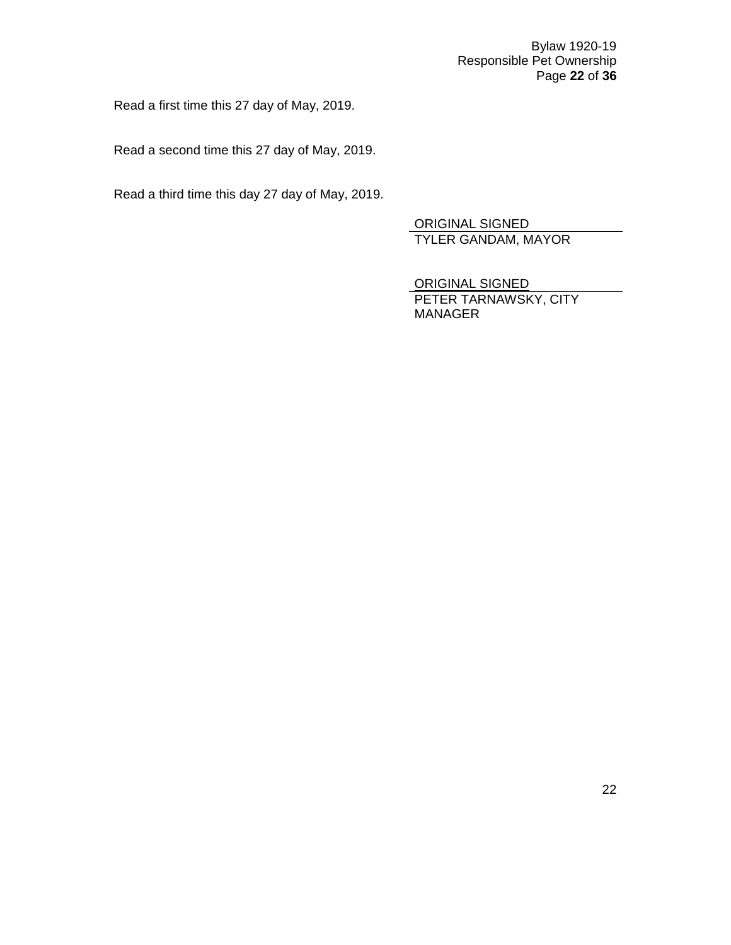Bylaw 1920-19 Responsible Pet Ownership Page **22** of **36**

Read a first time this 27 day of May, 2019.

Read a second time this 27 day of May, 2019.

Read a third time this day 27 day of May, 2019.

ORIGINAL SIGNED TYLER GANDAM, MAYOR

ORIGINAL SIGNED PETER TARNAWSKY, CITY MANAGER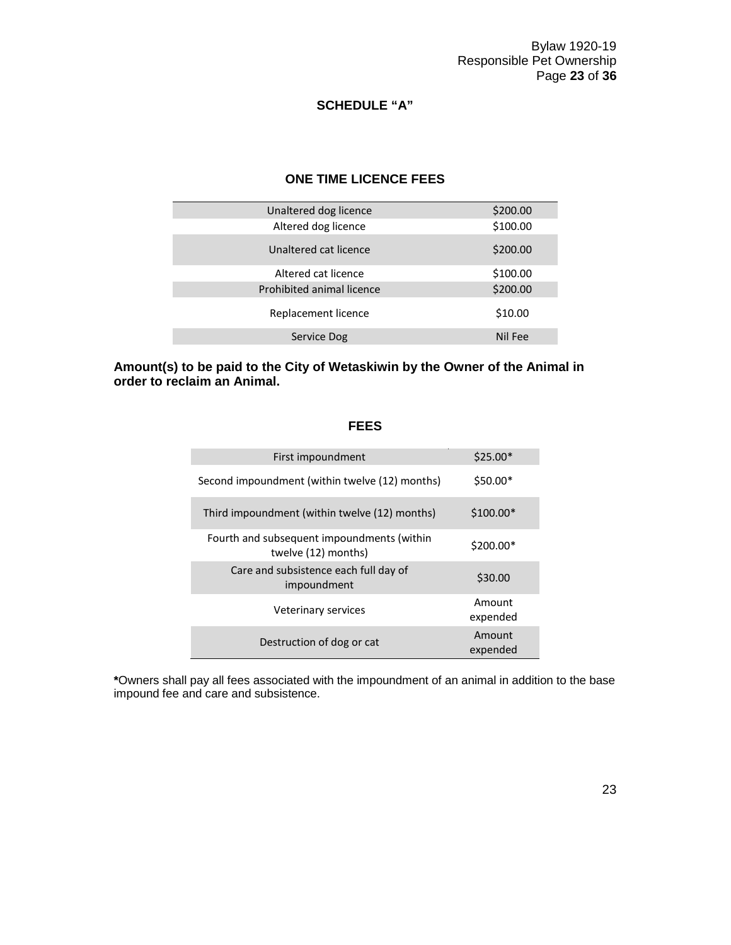### **SCHEDULE "A"**

### **ONE TIME LICENCE FEES**

| Unaltered dog licence     | \$200.00 |
|---------------------------|----------|
| Altered dog licence       | \$100.00 |
| Unaltered cat licence     | \$200.00 |
| Altered cat licence       | \$100.00 |
| Prohibited animal licence | \$200.00 |
| Replacement licence       | \$10.00  |
| Service Dog               | Nil Fee  |
|                           |          |

#### **Amount(s) to be paid to the City of Wetaskiwin by the Owner of the Animal in order to reclaim an Animal.**

#### **FEES**

| First impoundment                                                 | $$25.00*$          |
|-------------------------------------------------------------------|--------------------|
| Second impoundment (within twelve (12) months)                    | $$50.00*$          |
| Third impoundment (within twelve (12) months)                     | $$100.00*$         |
| Fourth and subsequent impoundments (within<br>twelve (12) months) | $$200.00*$         |
| Care and subsistence each full day of<br>impoundment              | \$30.00            |
| Veterinary services                                               | Amount<br>expended |
| Destruction of dog or cat                                         | Amount<br>expended |

**\***Owners shall pay all fees associated with the impoundment of an animal in addition to the base impound fee and care and subsistence.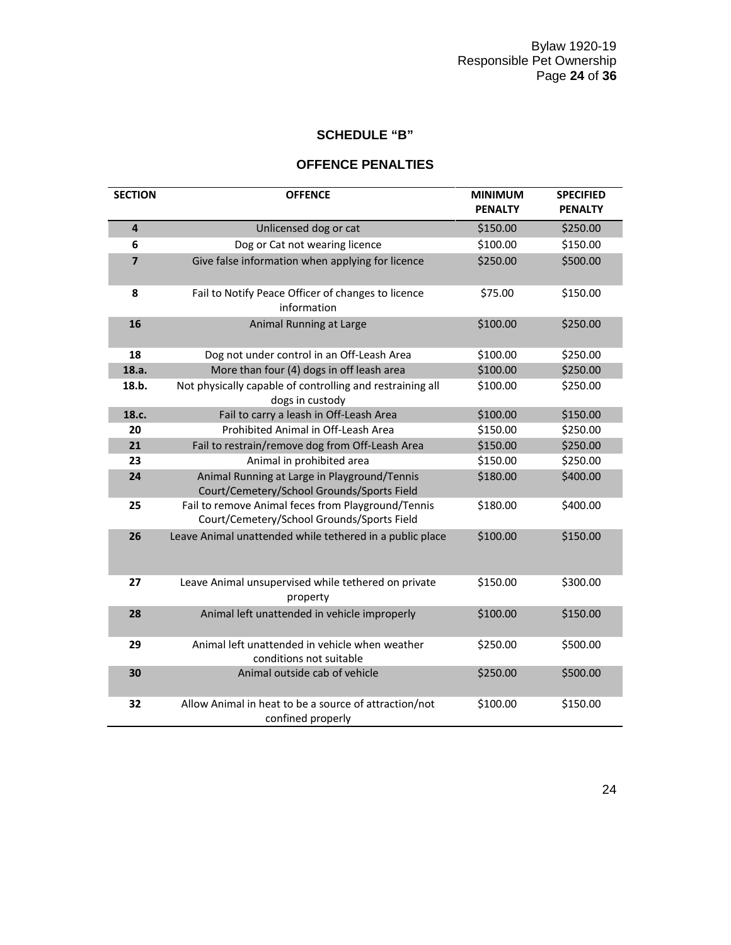## **SCHEDULE "B"**

## **OFFENCE PENALTIES**

| <b>SECTION</b>          | <b>OFFENCE</b>                                                                                   | <b>MINIMUM</b><br><b>PENALTY</b> | <b>SPECIFIED</b><br><b>PENALTY</b> |
|-------------------------|--------------------------------------------------------------------------------------------------|----------------------------------|------------------------------------|
| $\overline{\mathbf{4}}$ | Unlicensed dog or cat                                                                            | \$150.00                         | \$250.00                           |
| 6                       | Dog or Cat not wearing licence                                                                   | \$100.00                         | \$150.00                           |
| $\overline{\mathbf{z}}$ | Give false information when applying for licence                                                 | \$250.00                         | \$500.00                           |
| 8                       | Fail to Notify Peace Officer of changes to licence<br>information                                | \$75.00                          | \$150.00                           |
| 16                      | Animal Running at Large                                                                          | \$100.00                         | \$250.00                           |
| 18                      | Dog not under control in an Off-Leash Area                                                       | \$100.00                         | \$250.00                           |
| 18.a.                   | More than four (4) dogs in off leash area                                                        | \$100.00                         | \$250.00                           |
| 18.b.                   | Not physically capable of controlling and restraining all<br>dogs in custody                     | \$100.00                         | \$250.00                           |
| 18.c.                   | Fail to carry a leash in Off-Leash Area                                                          | \$100.00                         | \$150.00                           |
| 20                      | Prohibited Animal in Off-Leash Area                                                              | \$150.00                         | \$250.00                           |
| 21                      | Fail to restrain/remove dog from Off-Leash Area                                                  | \$150.00                         | \$250.00                           |
| 23                      | Animal in prohibited area                                                                        | \$150.00                         | \$250.00                           |
| 24                      | Animal Running at Large in Playground/Tennis<br>Court/Cemetery/School Grounds/Sports Field       | \$180.00                         | \$400.00                           |
| 25                      | Fail to remove Animal feces from Playground/Tennis<br>Court/Cemetery/School Grounds/Sports Field | \$180.00                         | \$400.00                           |
| 26                      | Leave Animal unattended while tethered in a public place                                         | \$100.00                         | \$150.00                           |
| 27                      | Leave Animal unsupervised while tethered on private<br>property                                  | \$150.00                         | \$300.00                           |
| 28                      | Animal left unattended in vehicle improperly                                                     | \$100.00                         | \$150.00                           |
| 29                      | Animal left unattended in vehicle when weather<br>conditions not suitable                        | \$250.00                         | \$500.00                           |
| 30                      | Animal outside cab of vehicle                                                                    | \$250.00                         | \$500.00                           |
| 32                      | Allow Animal in heat to be a source of attraction/not<br>confined properly                       | \$100.00                         | \$150.00                           |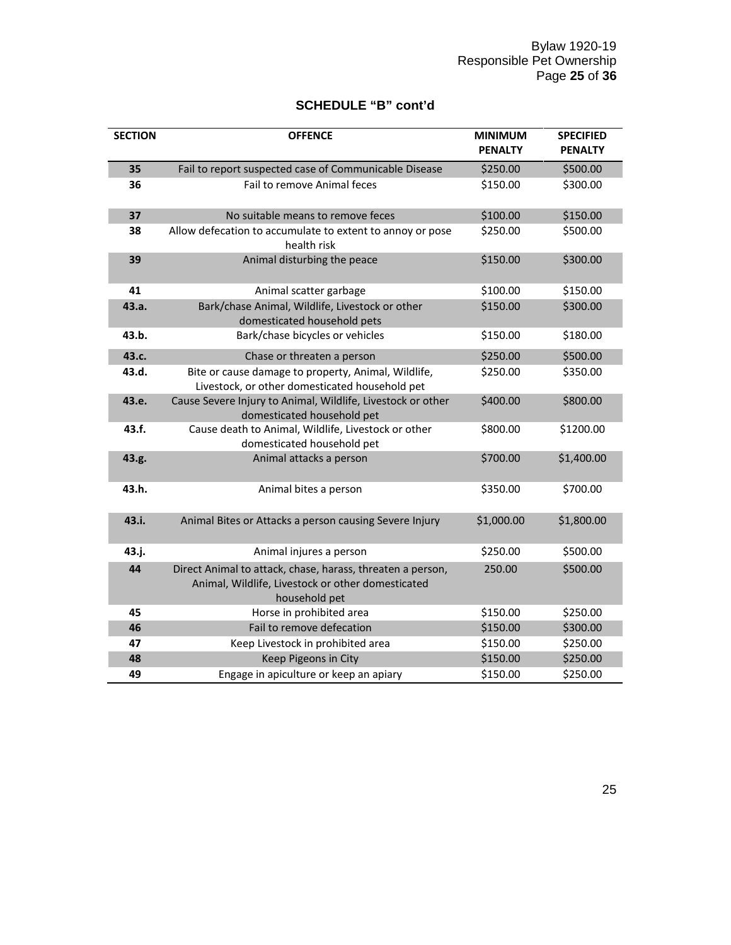## **SCHEDULE "B" cont'd**

| <b>SECTION</b> | <b>OFFENCE</b>                                                                                                                   | <b>MINIMUM</b><br><b>PENALTY</b> | <b>SPECIFIED</b><br><b>PENALTY</b> |
|----------------|----------------------------------------------------------------------------------------------------------------------------------|----------------------------------|------------------------------------|
| 35             | Fail to report suspected case of Communicable Disease                                                                            | \$250.00                         | \$500.00                           |
| 36             | Fail to remove Animal feces                                                                                                      | \$150.00                         | \$300.00                           |
| 37             | No suitable means to remove feces                                                                                                | \$100.00                         | \$150.00                           |
| 38             | Allow defecation to accumulate to extent to annoy or pose<br>health risk                                                         | \$250.00                         | \$500.00                           |
| 39             | Animal disturbing the peace                                                                                                      | \$150.00                         | \$300.00                           |
| 41             | Animal scatter garbage                                                                                                           | \$100.00                         | \$150.00                           |
| 43.a.          | Bark/chase Animal, Wildlife, Livestock or other<br>domesticated household pets                                                   | \$150.00                         | \$300.00                           |
| 43.b.          | Bark/chase bicycles or vehicles                                                                                                  | \$150.00                         | \$180.00                           |
| 43.c.          | Chase or threaten a person                                                                                                       | \$250.00                         | \$500.00                           |
| 43.d.          | Bite or cause damage to property, Animal, Wildlife,<br>Livestock, or other domesticated household pet                            | \$250.00                         | \$350.00                           |
| 43.e.          | Cause Severe Injury to Animal, Wildlife, Livestock or other<br>domesticated household pet                                        | \$400.00                         | \$800.00                           |
| 43.f.          | Cause death to Animal, Wildlife, Livestock or other<br>domesticated household pet                                                | \$800.00                         | \$1200.00                          |
| 43.g.          | Animal attacks a person                                                                                                          | \$700.00                         | \$1,400.00                         |
| 43.h.          | Animal bites a person                                                                                                            | \$350.00                         | \$700.00                           |
| 43.i.          | Animal Bites or Attacks a person causing Severe Injury                                                                           | \$1,000.00                       | \$1,800.00                         |
| 43.j.          | Animal injures a person                                                                                                          | \$250.00                         | \$500.00                           |
| 44             | Direct Animal to attack, chase, harass, threaten a person,<br>Animal, Wildlife, Livestock or other domesticated<br>household pet | 250.00                           | \$500.00                           |
| 45             | Horse in prohibited area                                                                                                         | \$150.00                         | \$250.00                           |
| 46             | Fail to remove defecation                                                                                                        | \$150.00                         | \$300.00                           |
| 47             | Keep Livestock in prohibited area                                                                                                | \$150.00                         | \$250.00                           |
| 48             | Keep Pigeons in City                                                                                                             | \$150.00                         | \$250.00                           |
| 49             | Engage in apiculture or keep an apiary                                                                                           | \$150.00                         | \$250.00                           |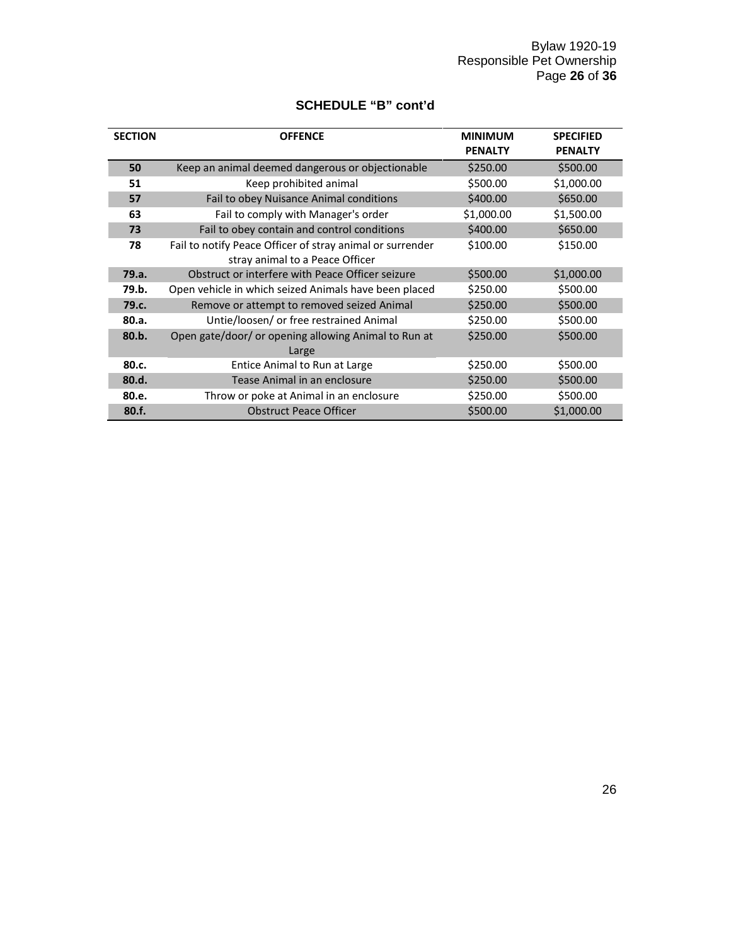| <b>SCHEDULE "B" cont'd</b> |  |  |
|----------------------------|--|--|
|----------------------------|--|--|

| <b>SECTION</b> | <b>OFFENCE</b>                                            | <b>MINIMUM</b> | <b>SPECIFIED</b> |
|----------------|-----------------------------------------------------------|----------------|------------------|
|                |                                                           | <b>PENALTY</b> | <b>PENALTY</b>   |
| 50             | Keep an animal deemed dangerous or objectionable          | \$250.00       | \$500.00         |
| 51             | Keep prohibited animal                                    | \$500.00       | \$1,000.00       |
| 57             | Fail to obey Nuisance Animal conditions                   | \$400.00       | \$650.00         |
| 63             | Fail to comply with Manager's order                       | \$1,000.00     | \$1,500.00       |
| 73             | Fail to obey contain and control conditions               | \$400.00       | \$650.00         |
| 78             | Fail to notify Peace Officer of stray animal or surrender | \$100.00       | \$150.00         |
|                | stray animal to a Peace Officer                           |                |                  |
| 79.a.          | Obstruct or interfere with Peace Officer seizure          | \$500.00       | \$1,000.00       |
| 79.b.          | Open vehicle in which seized Animals have been placed     | \$250.00       | \$500.00         |
| 79.c.          | Remove or attempt to removed seized Animal                | \$250.00       | \$500.00         |
| 80.a.          | Untie/loosen/ or free restrained Animal                   | \$250.00       | \$500.00         |
| 80.b.          | Open gate/door/ or opening allowing Animal to Run at      | \$250.00       | \$500.00         |
|                | Large                                                     |                |                  |
| 80.c.          | Entice Animal to Run at Large                             | \$250.00       | \$500.00         |
| 80.d.          | Tease Animal in an enclosure                              | \$250.00       | \$500.00         |
| 80.e.          | Throw or poke at Animal in an enclosure                   | \$250.00       | \$500.00         |
| 80.f.          | <b>Obstruct Peace Officer</b>                             | \$500.00       | \$1,000.00       |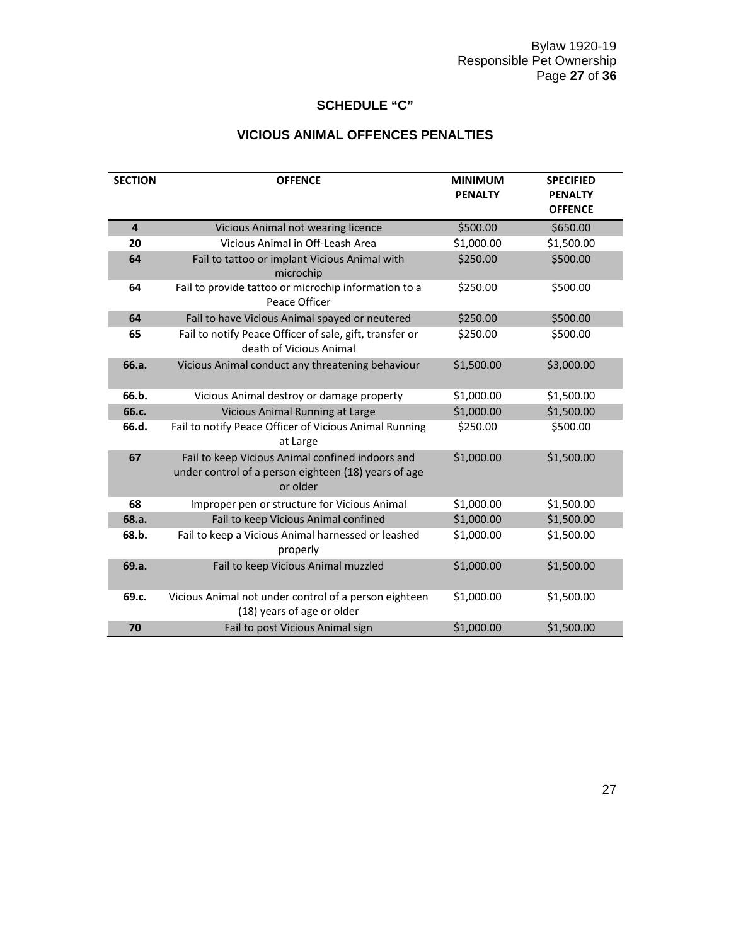## **SCHEDULE "C"**

## **VICIOUS ANIMAL OFFENCES PENALTIES**

| <b>SECTION</b>          | <b>OFFENCE</b>                                                                                                       | <b>MINIMUM</b><br><b>PENALTY</b> | <b>SPECIFIED</b><br><b>PENALTY</b><br><b>OFFENCE</b> |
|-------------------------|----------------------------------------------------------------------------------------------------------------------|----------------------------------|------------------------------------------------------|
| $\overline{\mathbf{4}}$ | Vicious Animal not wearing licence                                                                                   | \$500.00                         | \$650.00                                             |
| 20                      | Vicious Animal in Off-Leash Area                                                                                     | \$1,000.00                       | \$1,500.00                                           |
| 64                      | Fail to tattoo or implant Vicious Animal with<br>microchip                                                           | \$250.00                         | \$500.00                                             |
| 64                      | Fail to provide tattoo or microchip information to a<br>Peace Officer                                                | \$250.00                         | \$500.00                                             |
| 64                      | Fail to have Vicious Animal spayed or neutered                                                                       | \$250.00                         | \$500.00                                             |
| 65                      | Fail to notify Peace Officer of sale, gift, transfer or<br>death of Vicious Animal                                   | \$250.00                         | \$500.00                                             |
| 66.a.                   | Vicious Animal conduct any threatening behaviour                                                                     | \$1,500.00                       | \$3,000.00                                           |
| 66.b.                   | Vicious Animal destroy or damage property                                                                            | \$1,000.00                       | \$1,500.00                                           |
| 66.c.                   | <b>Vicious Animal Running at Large</b>                                                                               | \$1,000.00                       | \$1,500.00                                           |
| 66.d.                   | Fail to notify Peace Officer of Vicious Animal Running<br>at Large                                                   | \$250.00                         | \$500.00                                             |
| 67                      | Fail to keep Vicious Animal confined indoors and<br>under control of a person eighteen (18) years of age<br>or older | \$1,000.00                       | \$1,500.00                                           |
| 68                      | Improper pen or structure for Vicious Animal                                                                         | \$1,000.00                       | \$1,500.00                                           |
| 68.a.                   | Fail to keep Vicious Animal confined                                                                                 | \$1,000.00                       | \$1,500.00                                           |
| 68.b.                   | Fail to keep a Vicious Animal harnessed or leashed<br>properly                                                       | \$1,000.00                       | \$1,500.00                                           |
| 69.a.                   | Fail to keep Vicious Animal muzzled                                                                                  | \$1,000.00                       | \$1,500.00                                           |
| 69.c.                   | Vicious Animal not under control of a person eighteen<br>(18) years of age or older                                  | \$1,000.00                       | \$1,500.00                                           |
| 70                      | Fail to post Vicious Animal sign                                                                                     | \$1,000.00                       | \$1,500.00                                           |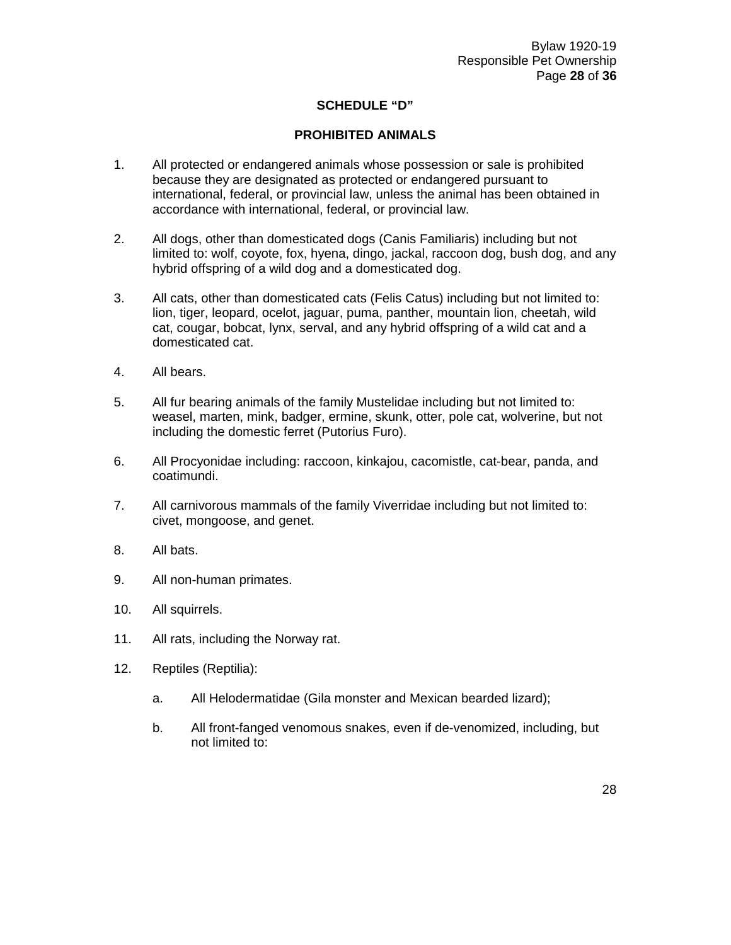### **SCHEDULE "D"**

#### **PROHIBITED ANIMALS**

- 1. All protected or endangered animals whose possession or sale is prohibited because they are designated as protected or endangered pursuant to international, federal, or provincial law, unless the animal has been obtained in accordance with international, federal, or provincial law.
- 2. All dogs, other than domesticated dogs (Canis Familiaris) including but not limited to: wolf, coyote, fox, hyena, dingo, jackal, raccoon dog, bush dog, and any hybrid offspring of a wild dog and a domesticated dog.
- 3. All cats, other than domesticated cats (Felis Catus) including but not limited to: lion, tiger, leopard, ocelot, jaguar, puma, panther, mountain lion, cheetah, wild cat, cougar, bobcat, lynx, serval, and any hybrid offspring of a wild cat and a domesticated cat.
- 4. All bears.
- 5. All fur bearing animals of the family Mustelidae including but not limited to: weasel, marten, mink, badger, ermine, skunk, otter, pole cat, wolverine, but not including the domestic ferret (Putorius Furo).
- 6. All Procyonidae including: raccoon, kinkajou, cacomistle, cat-bear, panda, and coatimundi.
- 7. All carnivorous mammals of the family Viverridae including but not limited to: civet, mongoose, and genet.
- 8. All bats.
- 9. All non-human primates.
- 10. All squirrels.
- 11. All rats, including the Norway rat.
- 12. Reptiles (Reptilia):
	- a. All Helodermatidae (Gila monster and Mexican bearded lizard);
	- b. All front-fanged venomous snakes, even if de-venomized, including, but not limited to: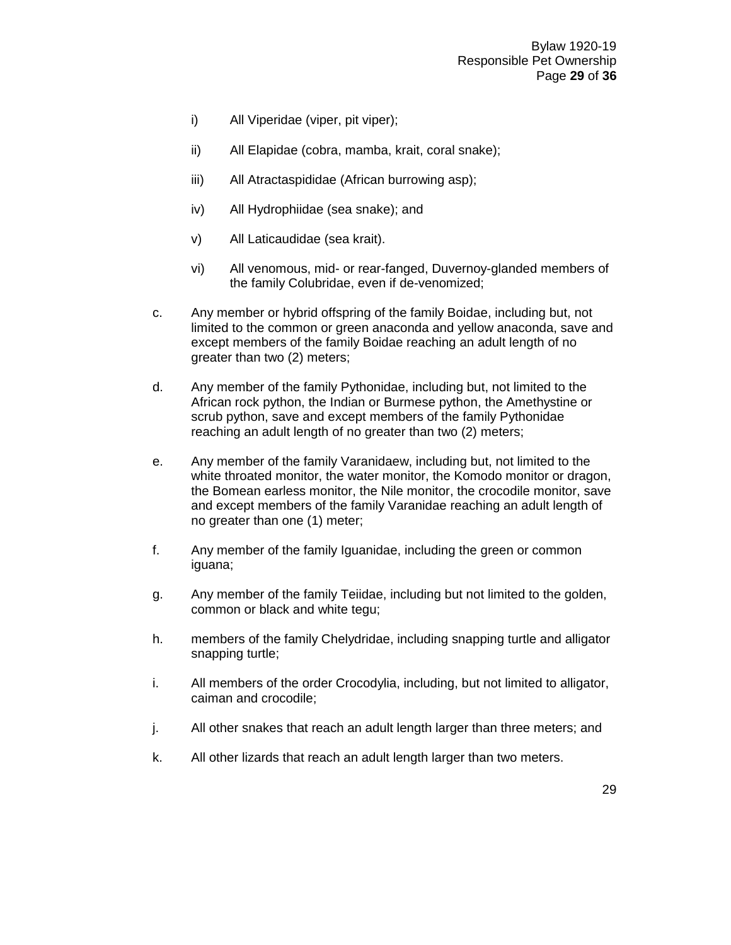- i) All Viperidae (viper, pit viper);
- ii) All Elapidae (cobra, mamba, krait, coral snake);
- iii) All Atractaspididae (African burrowing asp);
- iv) All Hydrophiidae (sea snake); and
- v) All Laticaudidae (sea krait).
- vi) All venomous, mid- or rear-fanged, Duvernoy-glanded members of the family Colubridae, even if de-venomized;
- c. Any member or hybrid offspring of the family Boidae, including but, not limited to the common or green anaconda and yellow anaconda, save and except members of the family Boidae reaching an adult length of no greater than two (2) meters;
- d. Any member of the family Pythonidae, including but, not limited to the African rock python, the Indian or Burmese python, the Amethystine or scrub python, save and except members of the family Pythonidae reaching an adult length of no greater than two (2) meters;
- e. Any member of the family Varanidaew, including but, not limited to the white throated monitor, the water monitor, the Komodo monitor or dragon, the Bomean earless monitor, the Nile monitor, the crocodile monitor, save and except members of the family Varanidae reaching an adult length of no greater than one (1) meter;
- f. Any member of the family Iguanidae, including the green or common iguana;
- g. Any member of the family Teiidae, including but not limited to the golden, common or black and white tegu;
- h. members of the family Chelydridae, including snapping turtle and alligator snapping turtle;
- i. All members of the order Crocodylia, including, but not limited to alligator, caiman and crocodile;
- j. All other snakes that reach an adult length larger than three meters; and
- k. All other lizards that reach an adult length larger than two meters.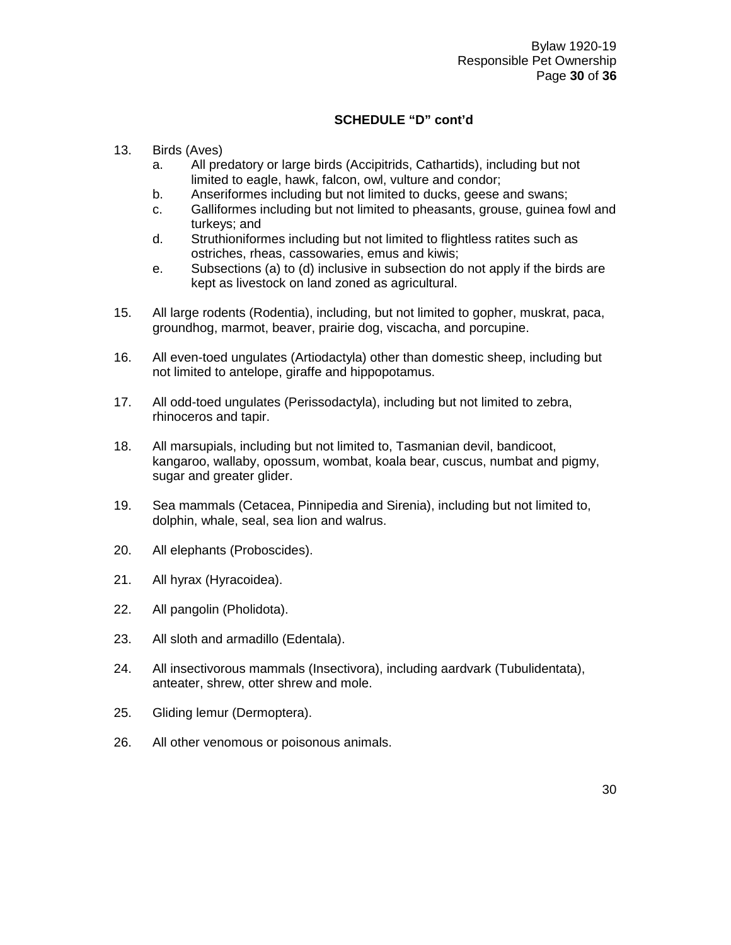#### **SCHEDULE "D" cont'd**

- 13. Birds (Aves)
	- a. All predatory or large birds (Accipitrids, Cathartids), including but not limited to eagle, hawk, falcon, owl, vulture and condor;
	- b. Anseriformes including but not limited to ducks, geese and swans;
	- c. Galliformes including but not limited to pheasants, grouse, guinea fowl and turkeys; and
	- d. Struthioniformes including but not limited to flightless ratites such as ostriches, rheas, cassowaries, emus and kiwis;
	- e. Subsections (a) to (d) inclusive in subsection do not apply if the birds are kept as livestock on land zoned as agricultural.
- 15. All large rodents (Rodentia), including, but not limited to gopher, muskrat, paca, groundhog, marmot, beaver, prairie dog, viscacha, and porcupine.
- 16. All even-toed ungulates (Artiodactyla) other than domestic sheep, including but not limited to antelope, giraffe and hippopotamus.
- 17. All odd-toed ungulates (Perissodactyla), including but not limited to zebra, rhinoceros and tapir.
- 18. All marsupials, including but not limited to, Tasmanian devil, bandicoot, kangaroo, wallaby, opossum, wombat, koala bear, cuscus, numbat and pigmy, sugar and greater glider.
- 19. Sea mammals (Cetacea, Pinnipedia and Sirenia), including but not limited to, dolphin, whale, seal, sea lion and walrus.
- 20. All elephants (Proboscides).
- 21. All hyrax (Hyracoidea).
- 22. All pangolin (Pholidota).
- 23. All sloth and armadillo (Edentala).
- 24. All insectivorous mammals (Insectivora), including aardvark (Tubulidentata), anteater, shrew, otter shrew and mole.
- 25. Gliding lemur (Dermoptera).
- 26. All other venomous or poisonous animals.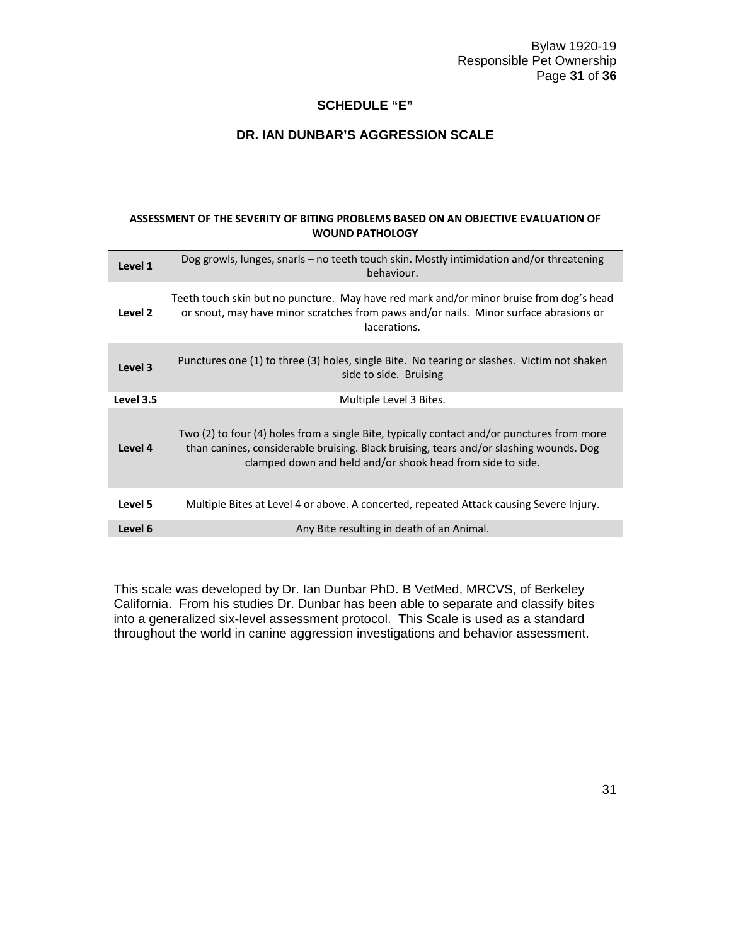Bylaw 1920-19 Responsible Pet Ownership Page **31** of **36**

#### **SCHEDULE "E"**

#### **DR. IAN DUNBAR'S AGGRESSION SCALE**

#### **ASSESSMENT OF THE SEVERITY OF BITING PROBLEMS BASED ON AN OBJECTIVE EVALUATION OF WOUND PATHOLOGY**

| Level 1   | Dog growls, lunges, snarls – no teeth touch skin. Mostly intimidation and/or threatening<br>behaviour.                                                                                                                                             |
|-----------|----------------------------------------------------------------------------------------------------------------------------------------------------------------------------------------------------------------------------------------------------|
| Level 2   | Teeth touch skin but no puncture. May have red mark and/or minor bruise from dog's head<br>or snout, may have minor scratches from paws and/or nails. Minor surface abrasions or<br>lacerations.                                                   |
| Level 3   | Punctures one (1) to three (3) holes, single Bite. No tearing or slashes. Victim not shaken<br>side to side. Bruising                                                                                                                              |
| Level 3.5 | Multiple Level 3 Bites.                                                                                                                                                                                                                            |
| Level 4   | Two (2) to four (4) holes from a single Bite, typically contact and/or punctures from more<br>than canines, considerable bruising. Black bruising, tears and/or slashing wounds. Dog<br>clamped down and held and/or shook head from side to side. |
| Level 5   | Multiple Bites at Level 4 or above. A concerted, repeated Attack causing Severe Injury.                                                                                                                                                            |
| Level 6   | Any Bite resulting in death of an Animal.                                                                                                                                                                                                          |

This scale was developed by Dr. Ian Dunbar PhD. B VetMed, MRCVS, of Berkeley California. From his studies Dr. Dunbar has been able to separate and classify bites into a generalized six-level assessment protocol. This Scale is used as a standard throughout the world in canine aggression investigations and behavior assessment.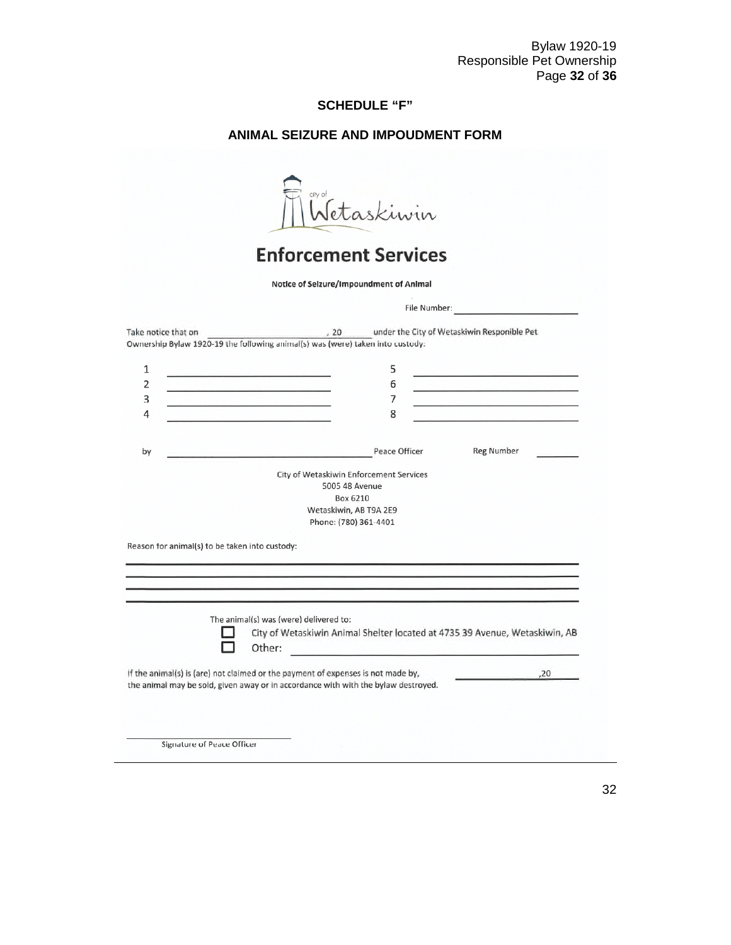Bylaw 1920-19 Responsible Pet Ownership Page **32** of **36**

## **SCHEDULE "F"**

## **ANIMAL SEIZURE AND IMPOUDMENT FORM**

|                                                | <b>Enforcement Services</b>                                                                                            |                                                                             |                                                                   |
|------------------------------------------------|------------------------------------------------------------------------------------------------------------------------|-----------------------------------------------------------------------------|-------------------------------------------------------------------|
|                                                | Notice of Seizure/Impoundment of Animal                                                                                |                                                                             |                                                                   |
|                                                |                                                                                                                        |                                                                             | File Number: Electric Activity of the Number:                     |
| Take notice that on                            | Ownership Bylaw 1920-19 the following animal(s) was (were) taken into custody:                                         | 20 under the City of Wetaskiwin Responible Pet                              |                                                                   |
| 1                                              | <u> 1989 - Andrea Stadter, fransk politik</u>                                                                          | 5                                                                           | the company's probability of the company's first                  |
| $\overline{2}$                                 | and the control of the control of the control of the                                                                   | 6                                                                           | the top of the second for the second control of the second second |
| 3                                              |                                                                                                                        | 7                                                                           |                                                                   |
| 4                                              |                                                                                                                        | 8                                                                           |                                                                   |
|                                                |                                                                                                                        |                                                                             |                                                                   |
| by                                             | <u> Parti de la contrada de la contrada de la contrada de la contrada de la contrada de la contrada de la contrada</u> | Peace Officer                                                               | <b>Reg Number</b>                                                 |
|                                                | City of Wetaskiwin Enforcement Services                                                                                |                                                                             |                                                                   |
|                                                | 5005 48 Avenue<br>Box 6210                                                                                             |                                                                             |                                                                   |
|                                                | Wetaskiwin, AB T9A 2E9                                                                                                 |                                                                             |                                                                   |
|                                                | Phone: (780) 361-4401                                                                                                  |                                                                             |                                                                   |
| Reason for animal(s) to be taken into custody: |                                                                                                                        |                                                                             |                                                                   |
|                                                |                                                                                                                        |                                                                             |                                                                   |
|                                                |                                                                                                                        |                                                                             |                                                                   |
|                                                |                                                                                                                        |                                                                             |                                                                   |
|                                                |                                                                                                                        |                                                                             |                                                                   |
|                                                | The animal(s) was (were) delivered to:                                                                                 |                                                                             |                                                                   |
|                                                |                                                                                                                        | City of Wetaskiwin Animal Shelter located at 4735 39 Avenue, Wetaskiwin, AB |                                                                   |
|                                                | Other:                                                                                                                 |                                                                             |                                                                   |

32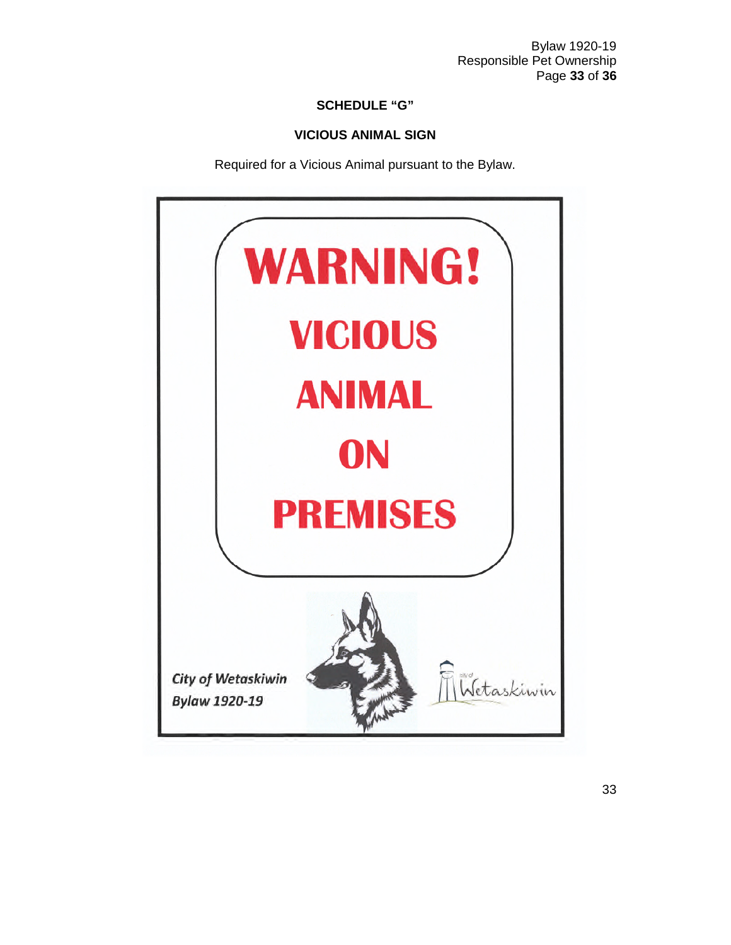Bylaw 1920-19 Responsible Pet Ownership Page **33** of **36**

### **SCHEDULE "G"**

#### **VICIOUS ANIMAL SIGN**

Required for a Vicious Animal pursuant to the Bylaw.

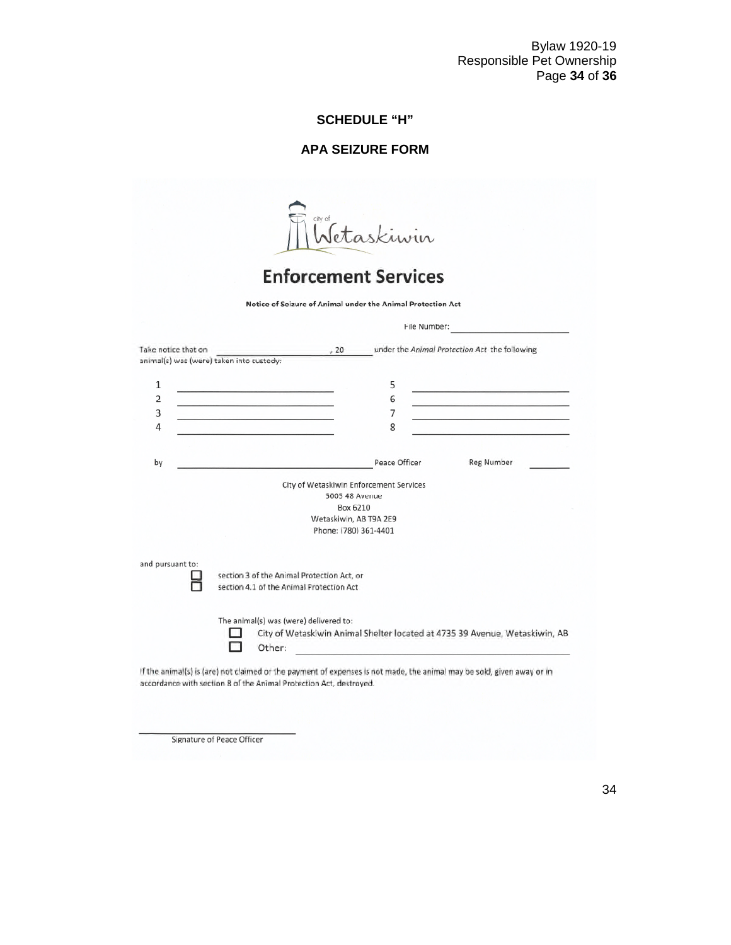#### **SCHEDULE "H"**

#### **APA SEIZURE FORM**

Wetaskiwin

# **Enforcement Services**

Notice of Seizure of Animal under the Animal Protection Act

| under the Animal Protection Act the following<br>Take notice that on<br>.20<br>animal(s) was (were) taken into custody:<br>1<br>5<br>$\overline{2}$<br>6<br>3<br>7<br>4<br>8<br><u> André Communication de l'Architecture de la production de la production de la production de la production de</u><br>Peace Officer<br>by<br>City of Wetaskiwin Enforcement Services<br>5005 48 Avenue<br>Box 6210<br>Wetaskiwin, AB T9A 2E9<br>Phone: (780) 361-4401 | the contract of the contract of the contract of<br><u> 1988 - Jacques Marian, amerikansk politik (</u><br><b>Reg Number</b> |
|---------------------------------------------------------------------------------------------------------------------------------------------------------------------------------------------------------------------------------------------------------------------------------------------------------------------------------------------------------------------------------------------------------------------------------------------------------|-----------------------------------------------------------------------------------------------------------------------------|
|                                                                                                                                                                                                                                                                                                                                                                                                                                                         |                                                                                                                             |
|                                                                                                                                                                                                                                                                                                                                                                                                                                                         |                                                                                                                             |
|                                                                                                                                                                                                                                                                                                                                                                                                                                                         |                                                                                                                             |
|                                                                                                                                                                                                                                                                                                                                                                                                                                                         |                                                                                                                             |
|                                                                                                                                                                                                                                                                                                                                                                                                                                                         |                                                                                                                             |
|                                                                                                                                                                                                                                                                                                                                                                                                                                                         |                                                                                                                             |
|                                                                                                                                                                                                                                                                                                                                                                                                                                                         |                                                                                                                             |
|                                                                                                                                                                                                                                                                                                                                                                                                                                                         |                                                                                                                             |
|                                                                                                                                                                                                                                                                                                                                                                                                                                                         |                                                                                                                             |
|                                                                                                                                                                                                                                                                                                                                                                                                                                                         |                                                                                                                             |
|                                                                                                                                                                                                                                                                                                                                                                                                                                                         |                                                                                                                             |
|                                                                                                                                                                                                                                                                                                                                                                                                                                                         |                                                                                                                             |
|                                                                                                                                                                                                                                                                                                                                                                                                                                                         |                                                                                                                             |
|                                                                                                                                                                                                                                                                                                                                                                                                                                                         |                                                                                                                             |
| and pursuant to:<br>section 3 of the Animal Protection Act, or                                                                                                                                                                                                                                                                                                                                                                                          |                                                                                                                             |
| section 4.1 of the Animal Protection Act                                                                                                                                                                                                                                                                                                                                                                                                                |                                                                                                                             |
|                                                                                                                                                                                                                                                                                                                                                                                                                                                         |                                                                                                                             |
| The animal(s) was (were) delivered to:                                                                                                                                                                                                                                                                                                                                                                                                                  |                                                                                                                             |
| City of Wetaskiwin Animal Shelter located at 4735 39 Avenue, Wetaskiwin, AB                                                                                                                                                                                                                                                                                                                                                                             |                                                                                                                             |
| Other:                                                                                                                                                                                                                                                                                                                                                                                                                                                  |                                                                                                                             |
|                                                                                                                                                                                                                                                                                                                                                                                                                                                         |                                                                                                                             |
| If the animal(s) is (are) not claimed or the payment of expenses is not made, the animal may be sold, given away or in                                                                                                                                                                                                                                                                                                                                  |                                                                                                                             |
| accordance with section 8 of the Animal Protection Act, destroyed.                                                                                                                                                                                                                                                                                                                                                                                      |                                                                                                                             |

Signature of Peace Officer